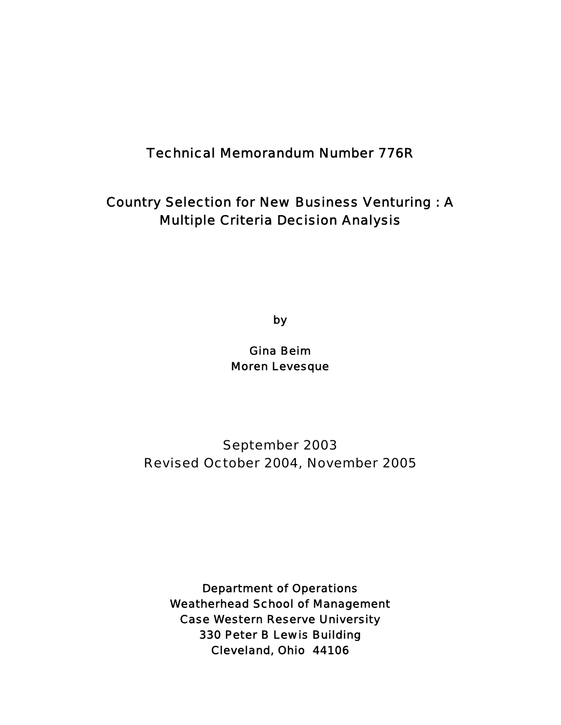### Technical Memorandum Number 776R

### Country Selection for New Business Venturing : A Multiple Criteria Decision Analysis

by

Gina Beim Moren Levesque

September 2003 Revised October 2004, November 2005

Department of Operations Weatherhead School of Management Case Western Reserve University 330 Peter B Lewis Building Cleveland, Ohio 44106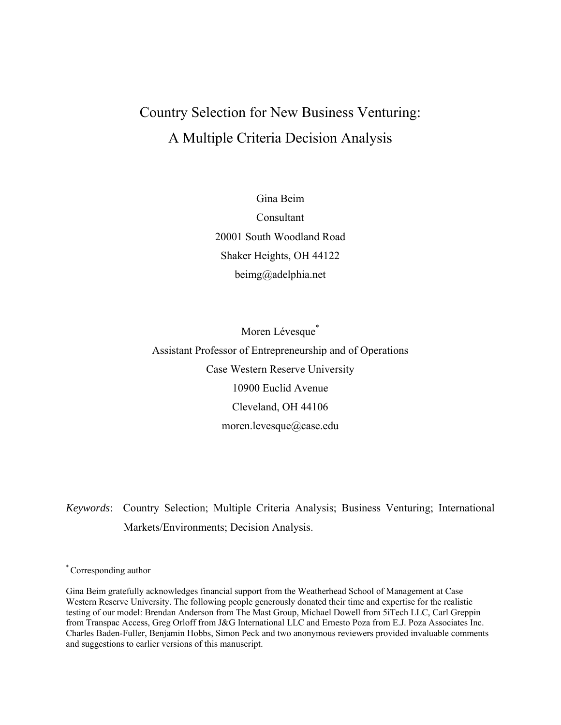# Country Selection for New Business Venturing: A Multiple Criteria Decision Analysis

Gina Beim Consultant 20001 South Woodland Road Shaker Heights, OH 44122 beimg@adelphia.net

Moren Lévesque<sup>\*</sup> Assistant Professor of Entrepreneurship and of Operations Case Western Reserve University 10900 Euclid Avenue Cleveland, OH 44106 moren.levesque@case.edu

*Keywords*: Country Selection; Multiple Criteria Analysis; Business Venturing; International Markets/Environments; Decision Analysis.

\* Corresponding author

Gina Beim gratefully acknowledges financial support from the Weatherhead School of Management at Case Western Reserve University. The following people generously donated their time and expertise for the realistic testing of our model: Brendan Anderson from The Mast Group, Michael Dowell from 5iTech LLC, Carl Greppin from Transpac Access, Greg Orloff from J&G International LLC and Ernesto Poza from E.J. Poza Associates Inc. Charles Baden-Fuller, Benjamin Hobbs, Simon Peck and two anonymous reviewers provided invaluable comments and suggestions to earlier versions of this manuscript.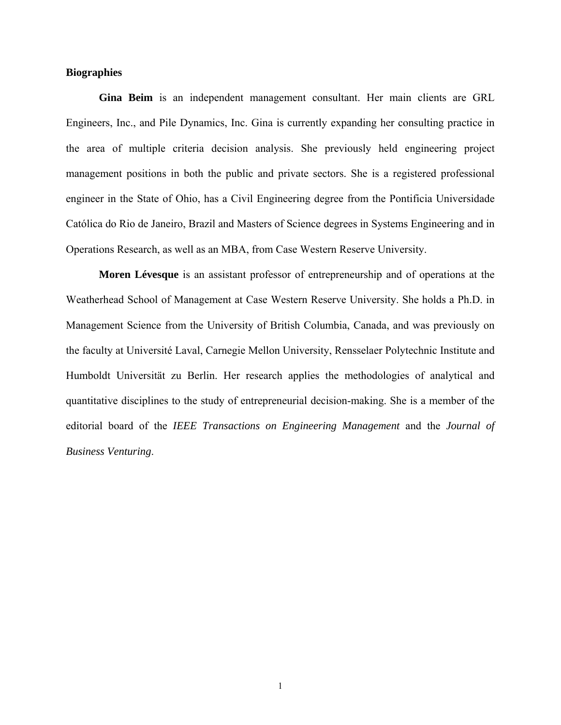#### **Biographies**

**Gina Beim** is an independent management consultant. Her main clients are GRL Engineers, Inc., and Pile Dynamics, Inc. Gina is currently expanding her consulting practice in the area of multiple criteria decision analysis. She previously held engineering project management positions in both the public and private sectors. She is a registered professional engineer in the State of Ohio, has a Civil Engineering degree from the Pontificia Universidade Católica do Rio de Janeiro, Brazil and Masters of Science degrees in Systems Engineering and in Operations Research, as well as an MBA, from Case Western Reserve University.

**Moren Lévesque** is an assistant professor of entrepreneurship and of operations at the Weatherhead School of Management at Case Western Reserve University. She holds a Ph.D. in Management Science from the University of British Columbia, Canada, and was previously on the faculty at Université Laval, Carnegie Mellon University, Rensselaer Polytechnic Institute and Humboldt Universität zu Berlin. Her research applies the methodologies of analytical and quantitative disciplines to the study of entrepreneurial decision-making. She is a member of the editorial board of the *IEEE Transactions on Engineering Management* and the *Journal of Business Venturing*.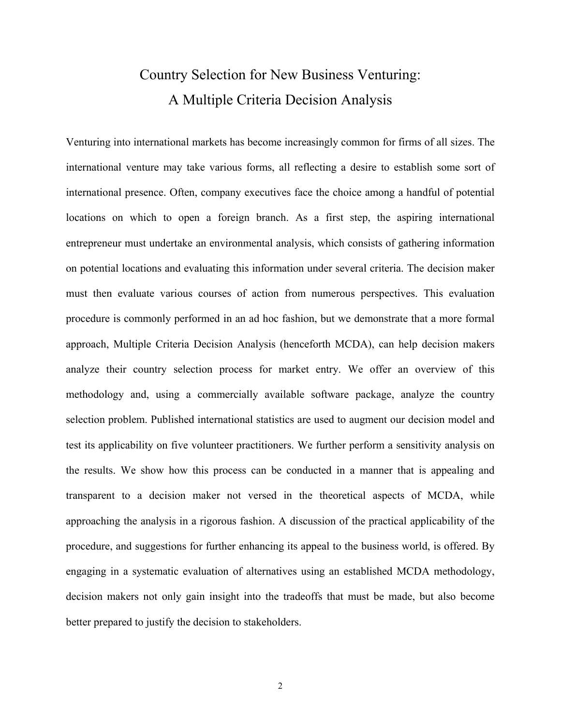# Country Selection for New Business Venturing: A Multiple Criteria Decision Analysis

Venturing into international markets has become increasingly common for firms of all sizes. The international venture may take various forms, all reflecting a desire to establish some sort of international presence. Often, company executives face the choice among a handful of potential locations on which to open a foreign branch. As a first step, the aspiring international entrepreneur must undertake an environmental analysis, which consists of gathering information on potential locations and evaluating this information under several criteria. The decision maker must then evaluate various courses of action from numerous perspectives. This evaluation procedure is commonly performed in an ad hoc fashion, but we demonstrate that a more formal approach, Multiple Criteria Decision Analysis (henceforth MCDA), can help decision makers analyze their country selection process for market entry. We offer an overview of this methodology and, using a commercially available software package, analyze the country selection problem. Published international statistics are used to augment our decision model and test its applicability on five volunteer practitioners. We further perform a sensitivity analysis on the results. We show how this process can be conducted in a manner that is appealing and transparent to a decision maker not versed in the theoretical aspects of MCDA, while approaching the analysis in a rigorous fashion. A discussion of the practical applicability of the procedure, and suggestions for further enhancing its appeal to the business world, is offered. By engaging in a systematic evaluation of alternatives using an established MCDA methodology, decision makers not only gain insight into the tradeoffs that must be made, but also become better prepared to justify the decision to stakeholders.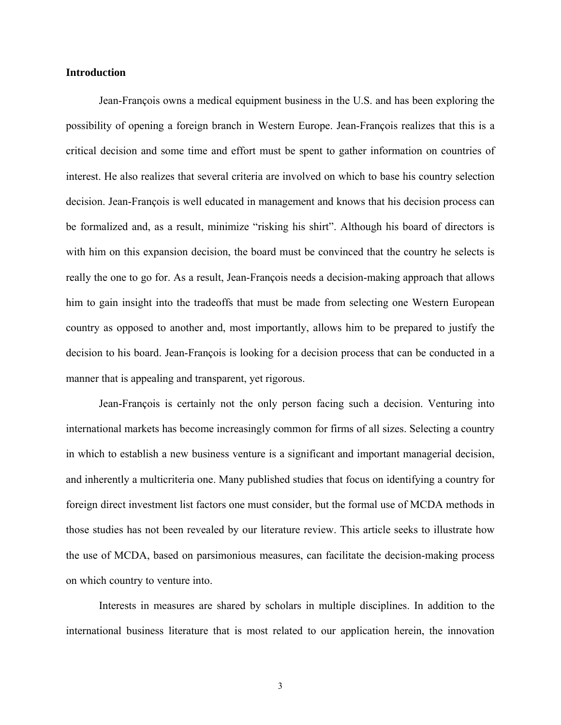#### **Introduction**

Jean-François owns a medical equipment business in the U.S. and has been exploring the possibility of opening a foreign branch in Western Europe. Jean-François realizes that this is a critical decision and some time and effort must be spent to gather information on countries of interest. He also realizes that several criteria are involved on which to base his country selection decision. Jean-François is well educated in management and knows that his decision process can be formalized and, as a result, minimize "risking his shirt". Although his board of directors is with him on this expansion decision, the board must be convinced that the country he selects is really the one to go for. As a result, Jean-François needs a decision-making approach that allows him to gain insight into the tradeoffs that must be made from selecting one Western European country as opposed to another and, most importantly, allows him to be prepared to justify the decision to his board. Jean-François is looking for a decision process that can be conducted in a manner that is appealing and transparent, yet rigorous.

Jean-François is certainly not the only person facing such a decision. Venturing into international markets has become increasingly common for firms of all sizes. Selecting a country in which to establish a new business venture is a significant and important managerial decision, and inherently a multicriteria one. Many published studies that focus on identifying a country for foreign direct investment list factors one must consider, but the formal use of MCDA methods in those studies has not been revealed by our literature review. This article seeks to illustrate how the use of MCDA, based on parsimonious measures, can facilitate the decision-making process on which country to venture into.

Interests in measures are shared by scholars in multiple disciplines. In addition to the international business literature that is most related to our application herein, the innovation

3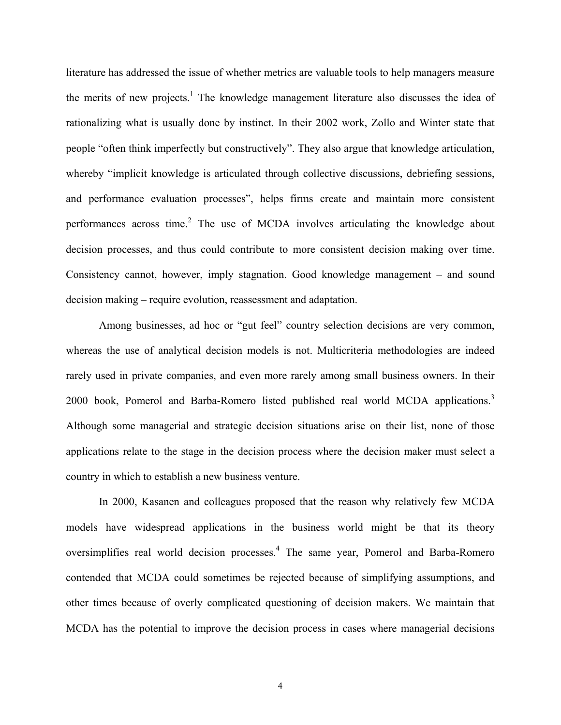literature has addressed the issue of whether metrics are valuable tools to help managers measure the merits of new projects.<sup>1</sup> The knowledge management literature also discusses the idea of rationalizing what is usually done by instinct. In their 2002 work, Zollo and Winter state that people "often think imperfectly but constructively". They also argue that knowledge articulation, whereby "implicit knowledge is articulated through collective discussions, debriefing sessions, and performance evaluation processes", helps firms create and maintain more consistent performances across time. $2$  The use of MCDA involves articulating the knowledge about decision processes, and thus could contribute to more consistent decision making over time. Consistency cannot, however, imply stagnation. Good knowledge management – and sound decision making – require evolution, reassessment and adaptation.

Among businesses, ad hoc or "gut feel" country selection decisions are very common, whereas the use of analytical decision models is not. Multicriteria methodologies are indeed rarely used in private companies, and even more rarely among small business owners. In their 2000 book, Pomerol and Barba-Romero listed published real world MCDA applications.<sup>3</sup> Although some managerial and strategic decision situations arise on their list, none of those applications relate to the stage in the decision process where the decision maker must select a country in which to establish a new business venture.

In 2000, Kasanen and colleagues proposed that the reason why relatively few MCDA models have widespread applications in the business world might be that its theory oversimplifies real world decision processes.<sup>4</sup> The same year, Pomerol and Barba-Romero contended that MCDA could sometimes be rejected because of simplifying assumptions, and other times because of overly complicated questioning of decision makers. We maintain that MCDA has the potential to improve the decision process in cases where managerial decisions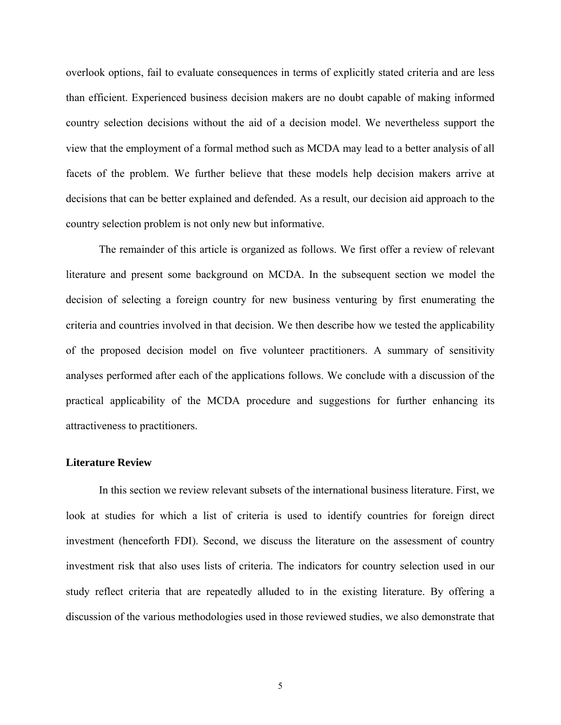overlook options, fail to evaluate consequences in terms of explicitly stated criteria and are less than efficient. Experienced business decision makers are no doubt capable of making informed country selection decisions without the aid of a decision model. We nevertheless support the view that the employment of a formal method such as MCDA may lead to a better analysis of all facets of the problem. We further believe that these models help decision makers arrive at decisions that can be better explained and defended. As a result, our decision aid approach to the country selection problem is not only new but informative.

The remainder of this article is organized as follows. We first offer a review of relevant literature and present some background on MCDA. In the subsequent section we model the decision of selecting a foreign country for new business venturing by first enumerating the criteria and countries involved in that decision. We then describe how we tested the applicability of the proposed decision model on five volunteer practitioners. A summary of sensitivity analyses performed after each of the applications follows. We conclude with a discussion of the practical applicability of the MCDA procedure and suggestions for further enhancing its attractiveness to practitioners.

#### **Literature Review**

In this section we review relevant subsets of the international business literature. First, we look at studies for which a list of criteria is used to identify countries for foreign direct investment (henceforth FDI). Second, we discuss the literature on the assessment of country investment risk that also uses lists of criteria. The indicators for country selection used in our study reflect criteria that are repeatedly alluded to in the existing literature. By offering a discussion of the various methodologies used in those reviewed studies, we also demonstrate that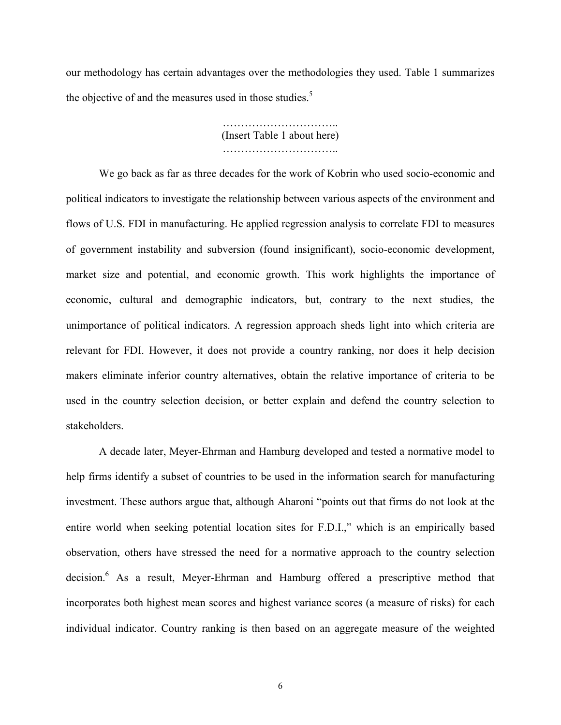our methodology has certain advantages over the methodologies they used. Table 1 summarizes the objective of and the measures used in those studies.<sup>5</sup>

> …………………………………… (Insert Table 1 about here) …………………………..

We go back as far as three decades for the work of Kobrin who used socio-economic and political indicators to investigate the relationship between various aspects of the environment and flows of U.S. FDI in manufacturing. He applied regression analysis to correlate FDI to measures of government instability and subversion (found insignificant), socio-economic development, market size and potential, and economic growth. This work highlights the importance of economic, cultural and demographic indicators, but, contrary to the next studies, the unimportance of political indicators. A regression approach sheds light into which criteria are relevant for FDI. However, it does not provide a country ranking, nor does it help decision makers eliminate inferior country alternatives, obtain the relative importance of criteria to be used in the country selection decision, or better explain and defend the country selection to stakeholders.

A decade later, Meyer-Ehrman and Hamburg developed and tested a normative model to help firms identify a subset of countries to be used in the information search for manufacturing investment. These authors argue that, although Aharoni "points out that firms do not look at the entire world when seeking potential location sites for F.D.I.," which is an empirically based observation, others have stressed the need for a normative approach to the country selection decision.<sup>6</sup> As a result, Meyer-Ehrman and Hamburg offered a prescriptive method that incorporates both highest mean scores and highest variance scores (a measure of risks) for each individual indicator. Country ranking is then based on an aggregate measure of the weighted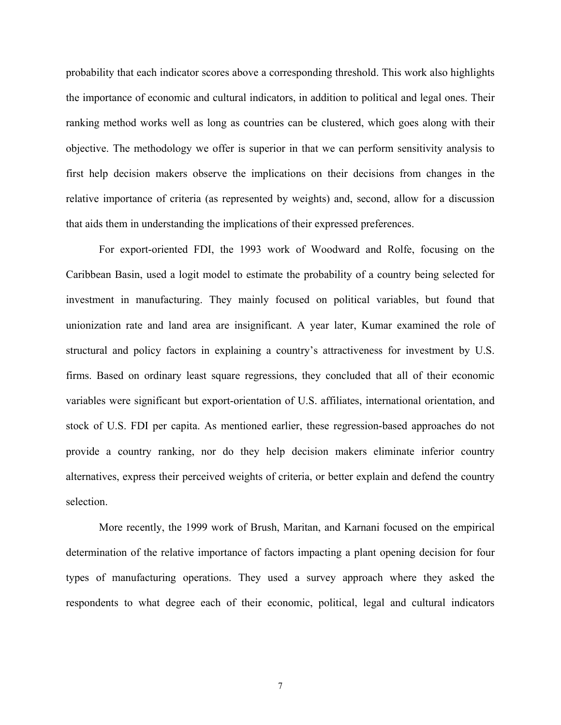probability that each indicator scores above a corresponding threshold. This work also highlights the importance of economic and cultural indicators, in addition to political and legal ones. Their ranking method works well as long as countries can be clustered, which goes along with their objective. The methodology we offer is superior in that we can perform sensitivity analysis to first help decision makers observe the implications on their decisions from changes in the relative importance of criteria (as represented by weights) and, second, allow for a discussion that aids them in understanding the implications of their expressed preferences.

For export-oriented FDI, the 1993 work of Woodward and Rolfe, focusing on the Caribbean Basin, used a logit model to estimate the probability of a country being selected for investment in manufacturing. They mainly focused on political variables, but found that unionization rate and land area are insignificant. A year later, Kumar examined the role of structural and policy factors in explaining a country's attractiveness for investment by U.S. firms. Based on ordinary least square regressions, they concluded that all of their economic variables were significant but export-orientation of U.S. affiliates, international orientation, and stock of U.S. FDI per capita. As mentioned earlier, these regression-based approaches do not provide a country ranking, nor do they help decision makers eliminate inferior country alternatives, express their perceived weights of criteria, or better explain and defend the country selection.

More recently, the 1999 work of Brush, Maritan, and Karnani focused on the empirical determination of the relative importance of factors impacting a plant opening decision for four types of manufacturing operations. They used a survey approach where they asked the respondents to what degree each of their economic, political, legal and cultural indicators

7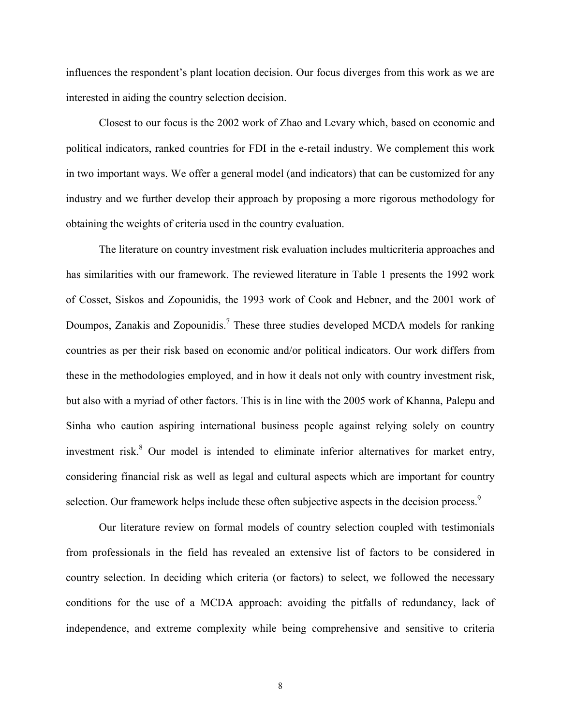influences the respondent's plant location decision. Our focus diverges from this work as we are interested in aiding the country selection decision.

Closest to our focus is the 2002 work of Zhao and Levary which, based on economic and political indicators, ranked countries for FDI in the e-retail industry. We complement this work in two important ways. We offer a general model (and indicators) that can be customized for any industry and we further develop their approach by proposing a more rigorous methodology for obtaining the weights of criteria used in the country evaluation.

The literature on country investment risk evaluation includes multicriteria approaches and has similarities with our framework. The reviewed literature in Table 1 presents the 1992 work of Cosset, Siskos and Zopounidis, the 1993 work of Cook and Hebner, and the 2001 work of Doumpos, Zanakis and Zopounidis.<sup>7</sup> These three studies developed MCDA models for ranking countries as per their risk based on economic and/or political indicators. Our work differs from these in the methodologies employed, and in how it deals not only with country investment risk, but also with a myriad of other factors. This is in line with the 2005 work of Khanna, Palepu and Sinha who caution aspiring international business people against relying solely on country investment risk.<sup>8</sup> Our model is intended to eliminate inferior alternatives for market entry, considering financial risk as well as legal and cultural aspects which are important for country selection. Our framework helps include these often subjective aspects in the decision process.<sup>9</sup>

Our literature review on formal models of country selection coupled with testimonials from professionals in the field has revealed an extensive list of factors to be considered in country selection. In deciding which criteria (or factors) to select, we followed the necessary conditions for the use of a MCDA approach: avoiding the pitfalls of redundancy, lack of independence, and extreme complexity while being comprehensive and sensitive to criteria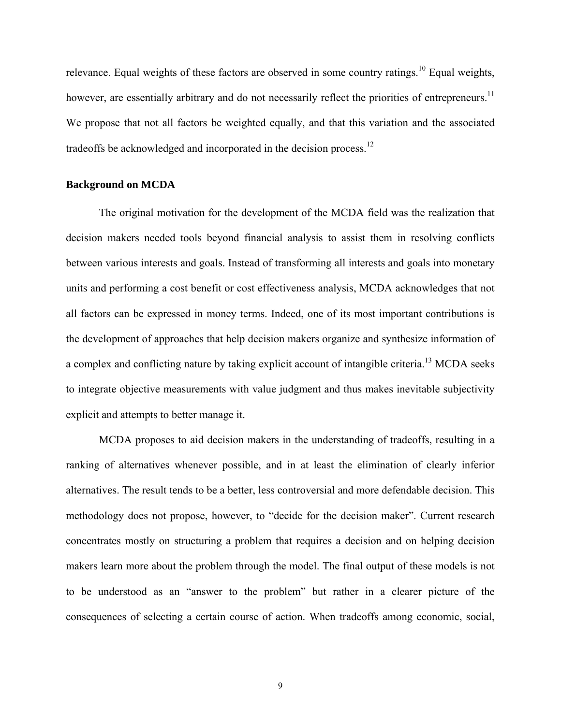relevance. Equal weights of these factors are observed in some country ratings.<sup>10</sup> Equal weights, however, are essentially arbitrary and do not necessarily reflect the priorities of entrepreneurs.<sup>11</sup> We propose that not all factors be weighted equally, and that this variation and the associated tradeoffs be acknowledged and incorporated in the decision process.12

#### **Background on MCDA**

The original motivation for the development of the MCDA field was the realization that decision makers needed tools beyond financial analysis to assist them in resolving conflicts between various interests and goals. Instead of transforming all interests and goals into monetary units and performing a cost benefit or cost effectiveness analysis, MCDA acknowledges that not all factors can be expressed in money terms. Indeed, one of its most important contributions is the development of approaches that help decision makers organize and synthesize information of a complex and conflicting nature by taking explicit account of intangible criteria.<sup>13</sup> MCDA seeks to integrate objective measurements with value judgment and thus makes inevitable subjectivity explicit and attempts to better manage it.

 MCDA proposes to aid decision makers in the understanding of tradeoffs, resulting in a ranking of alternatives whenever possible, and in at least the elimination of clearly inferior alternatives. The result tends to be a better, less controversial and more defendable decision. This methodology does not propose, however, to "decide for the decision maker". Current research concentrates mostly on structuring a problem that requires a decision and on helping decision makers learn more about the problem through the model. The final output of these models is not to be understood as an "answer to the problem" but rather in a clearer picture of the consequences of selecting a certain course of action. When tradeoffs among economic, social,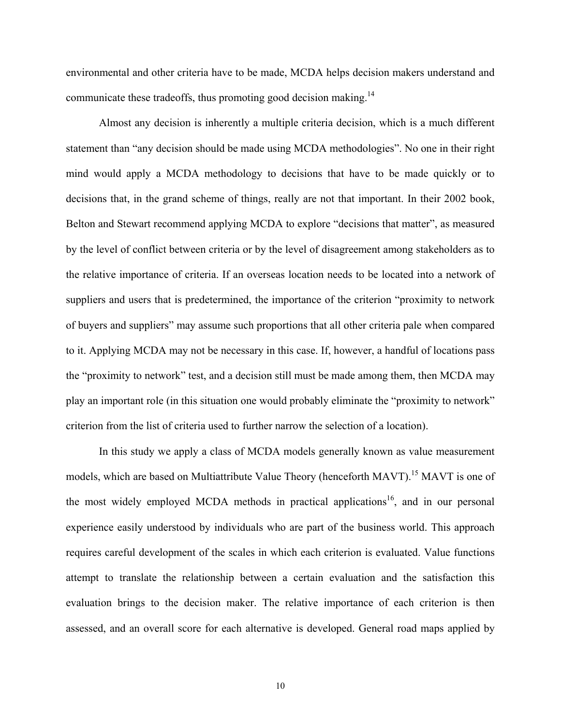environmental and other criteria have to be made, MCDA helps decision makers understand and communicate these tradeoffs, thus promoting good decision making.<sup>14</sup>

Almost any decision is inherently a multiple criteria decision, which is a much different statement than "any decision should be made using MCDA methodologies". No one in their right mind would apply a MCDA methodology to decisions that have to be made quickly or to decisions that, in the grand scheme of things, really are not that important. In their 2002 book, Belton and Stewart recommend applying MCDA to explore "decisions that matter", as measured by the level of conflict between criteria or by the level of disagreement among stakeholders as to the relative importance of criteria. If an overseas location needs to be located into a network of suppliers and users that is predetermined, the importance of the criterion "proximity to network of buyers and suppliers" may assume such proportions that all other criteria pale when compared to it. Applying MCDA may not be necessary in this case. If, however, a handful of locations pass the "proximity to network" test, and a decision still must be made among them, then MCDA may play an important role (in this situation one would probably eliminate the "proximity to network" criterion from the list of criteria used to further narrow the selection of a location).

 In this study we apply a class of MCDA models generally known as value measurement models, which are based on Multiattribute Value Theory (henceforth MAVT).<sup>15</sup> MAVT is one of the most widely employed MCDA methods in practical applications<sup>16</sup>, and in our personal experience easily understood by individuals who are part of the business world. This approach requires careful development of the scales in which each criterion is evaluated. Value functions attempt to translate the relationship between a certain evaluation and the satisfaction this evaluation brings to the decision maker. The relative importance of each criterion is then assessed, and an overall score for each alternative is developed. General road maps applied by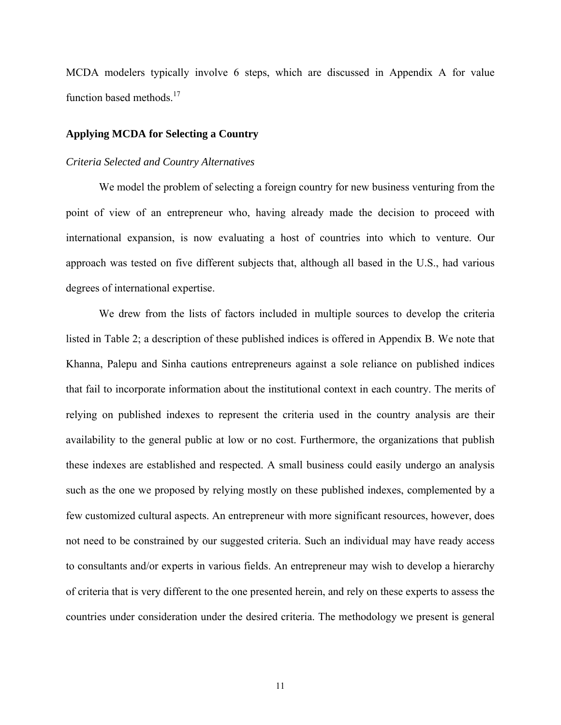MCDA modelers typically involve 6 steps, which are discussed in Appendix A for value function based methods.<sup>17</sup>

#### **Applying MCDA for Selecting a Country**

#### *Criteria Selected and Country Alternatives*

We model the problem of selecting a foreign country for new business venturing from the point of view of an entrepreneur who, having already made the decision to proceed with international expansion, is now evaluating a host of countries into which to venture. Our approach was tested on five different subjects that, although all based in the U.S., had various degrees of international expertise.

We drew from the lists of factors included in multiple sources to develop the criteria listed in Table 2; a description of these published indices is offered in Appendix B. We note that Khanna, Palepu and Sinha cautions entrepreneurs against a sole reliance on published indices that fail to incorporate information about the institutional context in each country. The merits of relying on published indexes to represent the criteria used in the country analysis are their availability to the general public at low or no cost. Furthermore, the organizations that publish these indexes are established and respected. A small business could easily undergo an analysis such as the one we proposed by relying mostly on these published indexes, complemented by a few customized cultural aspects. An entrepreneur with more significant resources, however, does not need to be constrained by our suggested criteria. Such an individual may have ready access to consultants and/or experts in various fields. An entrepreneur may wish to develop a hierarchy of criteria that is very different to the one presented herein, and rely on these experts to assess the countries under consideration under the desired criteria. The methodology we present is general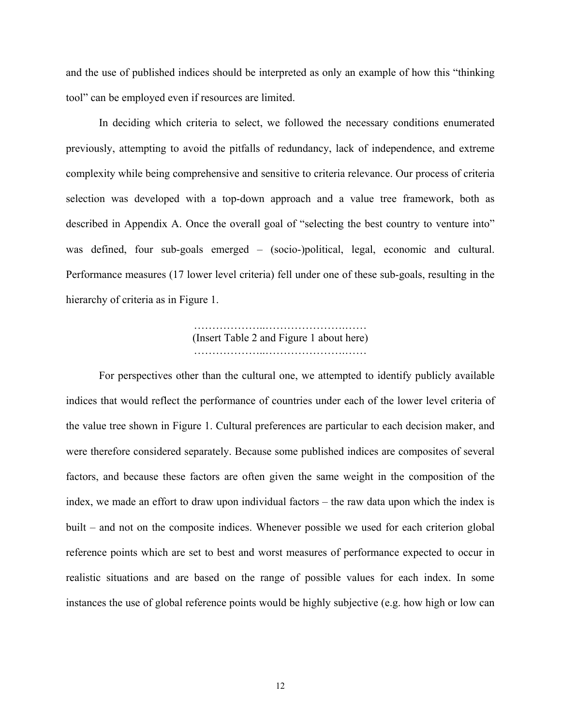and the use of published indices should be interpreted as only an example of how this "thinking tool" can be employed even if resources are limited.

In deciding which criteria to select, we followed the necessary conditions enumerated previously, attempting to avoid the pitfalls of redundancy, lack of independence, and extreme complexity while being comprehensive and sensitive to criteria relevance. Our process of criteria selection was developed with a top-down approach and a value tree framework, both as described in Appendix A. Once the overall goal of "selecting the best country to venture into" was defined, four sub-goals emerged – (socio-)political, legal, economic and cultural. Performance measures (17 lower level criteria) fell under one of these sub-goals, resulting in the hierarchy of criteria as in Figure 1.

### ………………..………………….…… (Insert Table 2 and Figure 1 about here) ………………..………………….……

 For perspectives other than the cultural one, we attempted to identify publicly available indices that would reflect the performance of countries under each of the lower level criteria of the value tree shown in Figure 1. Cultural preferences are particular to each decision maker, and were therefore considered separately. Because some published indices are composites of several factors, and because these factors are often given the same weight in the composition of the index, we made an effort to draw upon individual factors – the raw data upon which the index is built – and not on the composite indices. Whenever possible we used for each criterion global reference points which are set to best and worst measures of performance expected to occur in realistic situations and are based on the range of possible values for each index. In some instances the use of global reference points would be highly subjective (e.g. how high or low can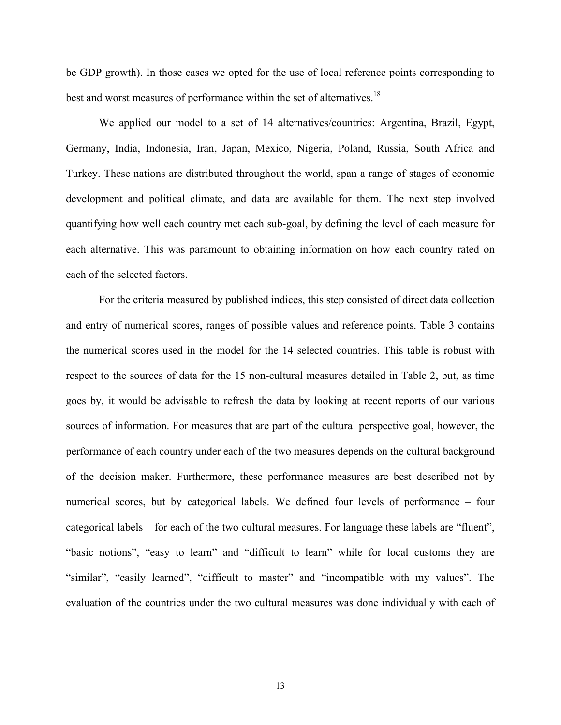be GDP growth). In those cases we opted for the use of local reference points corresponding to best and worst measures of performance within the set of alternatives.<sup>18</sup>

We applied our model to a set of 14 alternatives/countries: Argentina, Brazil, Egypt, Germany, India, Indonesia, Iran, Japan, Mexico, Nigeria, Poland, Russia, South Africa and Turkey. These nations are distributed throughout the world, span a range of stages of economic development and political climate, and data are available for them. The next step involved quantifying how well each country met each sub-goal, by defining the level of each measure for each alternative. This was paramount to obtaining information on how each country rated on each of the selected factors.

For the criteria measured by published indices, this step consisted of direct data collection and entry of numerical scores, ranges of possible values and reference points. Table 3 contains the numerical scores used in the model for the 14 selected countries. This table is robust with respect to the sources of data for the 15 non-cultural measures detailed in Table 2, but, as time goes by, it would be advisable to refresh the data by looking at recent reports of our various sources of information. For measures that are part of the cultural perspective goal, however, the performance of each country under each of the two measures depends on the cultural background of the decision maker. Furthermore, these performance measures are best described not by numerical scores, but by categorical labels. We defined four levels of performance – four categorical labels – for each of the two cultural measures. For language these labels are "fluent", "basic notions", "easy to learn" and "difficult to learn" while for local customs they are "similar", "easily learned", "difficult to master" and "incompatible with my values". The evaluation of the countries under the two cultural measures was done individually with each of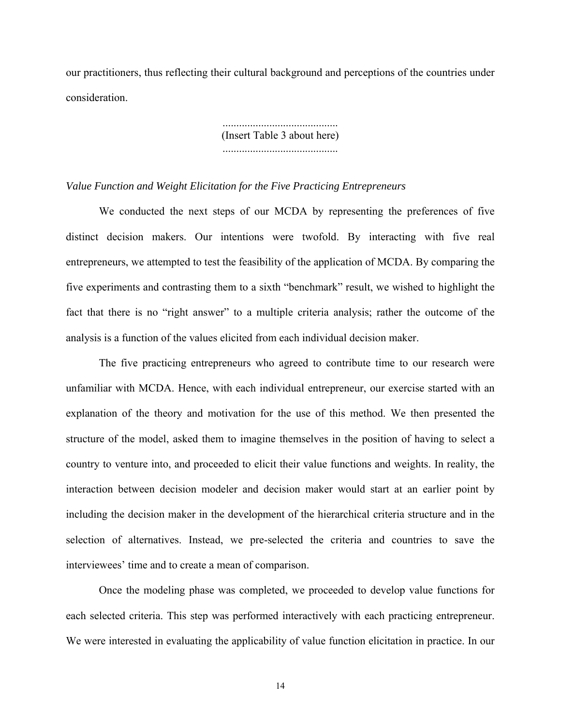our practitioners, thus reflecting their cultural background and perceptions of the countries under consideration.

> .......................................... (Insert Table 3 about here) ..........................................

#### *Value Function and Weight Elicitation for the Five Practicing Entrepreneurs*

We conducted the next steps of our MCDA by representing the preferences of five distinct decision makers. Our intentions were twofold. By interacting with five real entrepreneurs, we attempted to test the feasibility of the application of MCDA. By comparing the five experiments and contrasting them to a sixth "benchmark" result, we wished to highlight the fact that there is no "right answer" to a multiple criteria analysis; rather the outcome of the analysis is a function of the values elicited from each individual decision maker.

The five practicing entrepreneurs who agreed to contribute time to our research were unfamiliar with MCDA. Hence, with each individual entrepreneur, our exercise started with an explanation of the theory and motivation for the use of this method. We then presented the structure of the model, asked them to imagine themselves in the position of having to select a country to venture into, and proceeded to elicit their value functions and weights. In reality, the interaction between decision modeler and decision maker would start at an earlier point by including the decision maker in the development of the hierarchical criteria structure and in the selection of alternatives. Instead, we pre-selected the criteria and countries to save the interviewees' time and to create a mean of comparison.

 Once the modeling phase was completed, we proceeded to develop value functions for each selected criteria. This step was performed interactively with each practicing entrepreneur. We were interested in evaluating the applicability of value function elicitation in practice. In our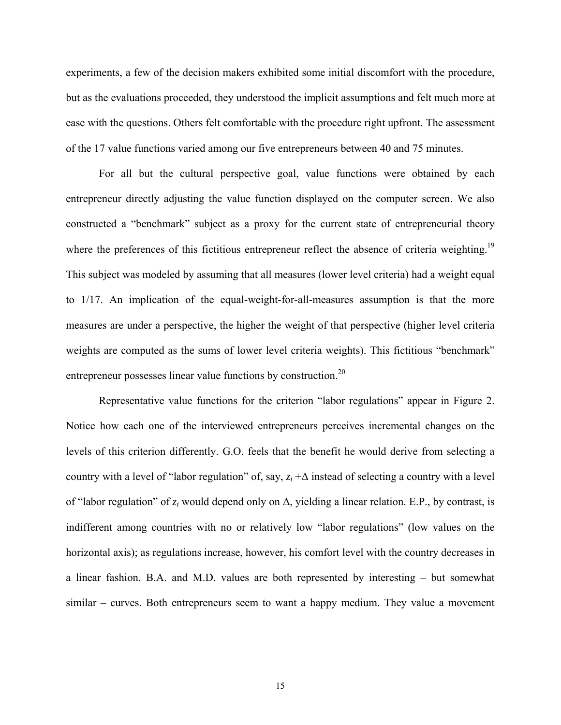experiments, a few of the decision makers exhibited some initial discomfort with the procedure, but as the evaluations proceeded, they understood the implicit assumptions and felt much more at ease with the questions. Others felt comfortable with the procedure right upfront. The assessment of the 17 value functions varied among our five entrepreneurs between 40 and 75 minutes.

For all but the cultural perspective goal, value functions were obtained by each entrepreneur directly adjusting the value function displayed on the computer screen. We also constructed a "benchmark" subject as a proxy for the current state of entrepreneurial theory where the preferences of this fictitious entrepreneur reflect the absence of criteria weighting.<sup>19</sup> This subject was modeled by assuming that all measures (lower level criteria) had a weight equal to 1/17. An implication of the equal-weight-for-all-measures assumption is that the more measures are under a perspective, the higher the weight of that perspective (higher level criteria weights are computed as the sums of lower level criteria weights). This fictitious "benchmark" entrepreneur possesses linear value functions by construction.<sup>20</sup>

Representative value functions for the criterion "labor regulations" appear in Figure 2. Notice how each one of the interviewed entrepreneurs perceives incremental changes on the levels of this criterion differently. G.O. feels that the benefit he would derive from selecting a country with a level of "labor regulation" of, say, *zi* +∆ instead of selecting a country with a level of "labor regulation" of *zi* would depend only on ∆, yielding a linear relation. E.P., by contrast, is indifferent among countries with no or relatively low "labor regulations" (low values on the horizontal axis); as regulations increase, however, his comfort level with the country decreases in a linear fashion. B.A. and M.D. values are both represented by interesting – but somewhat similar – curves. Both entrepreneurs seem to want a happy medium. They value a movement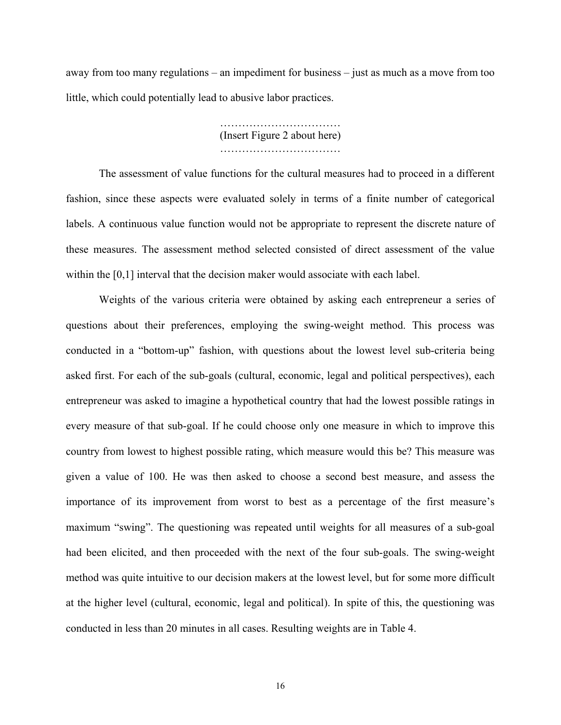away from too many regulations – an impediment for business – just as much as a move from too little, which could potentially lead to abusive labor practices.

> …………………………… (Insert Figure 2 about here) ……………………………

 The assessment of value functions for the cultural measures had to proceed in a different fashion, since these aspects were evaluated solely in terms of a finite number of categorical labels. A continuous value function would not be appropriate to represent the discrete nature of these measures. The assessment method selected consisted of direct assessment of the value within the [0,1] interval that the decision maker would associate with each label.

 Weights of the various criteria were obtained by asking each entrepreneur a series of questions about their preferences, employing the swing-weight method. This process was conducted in a "bottom-up" fashion, with questions about the lowest level sub-criteria being asked first. For each of the sub-goals (cultural, economic, legal and political perspectives), each entrepreneur was asked to imagine a hypothetical country that had the lowest possible ratings in every measure of that sub-goal. If he could choose only one measure in which to improve this country from lowest to highest possible rating, which measure would this be? This measure was given a value of 100. He was then asked to choose a second best measure, and assess the importance of its improvement from worst to best as a percentage of the first measure's maximum "swing". The questioning was repeated until weights for all measures of a sub-goal had been elicited, and then proceeded with the next of the four sub-goals. The swing-weight method was quite intuitive to our decision makers at the lowest level, but for some more difficult at the higher level (cultural, economic, legal and political). In spite of this, the questioning was conducted in less than 20 minutes in all cases. Resulting weights are in Table 4.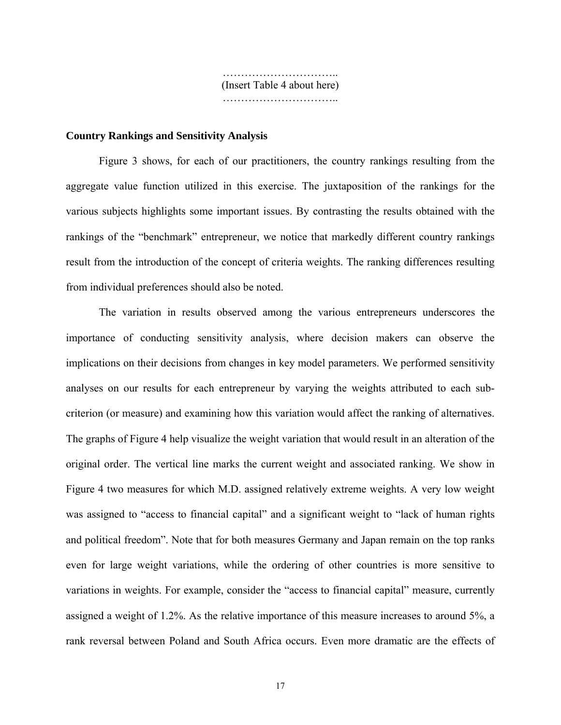………………………….. (Insert Table 4 about here) …………………………………

#### **Country Rankings and Sensitivity Analysis**

Figure 3 shows, for each of our practitioners, the country rankings resulting from the aggregate value function utilized in this exercise. The juxtaposition of the rankings for the various subjects highlights some important issues. By contrasting the results obtained with the rankings of the "benchmark" entrepreneur, we notice that markedly different country rankings result from the introduction of the concept of criteria weights. The ranking differences resulting from individual preferences should also be noted.

The variation in results observed among the various entrepreneurs underscores the importance of conducting sensitivity analysis, where decision makers can observe the implications on their decisions from changes in key model parameters. We performed sensitivity analyses on our results for each entrepreneur by varying the weights attributed to each subcriterion (or measure) and examining how this variation would affect the ranking of alternatives. The graphs of Figure 4 help visualize the weight variation that would result in an alteration of the original order. The vertical line marks the current weight and associated ranking. We show in Figure 4 two measures for which M.D. assigned relatively extreme weights. A very low weight was assigned to "access to financial capital" and a significant weight to "lack of human rights and political freedom". Note that for both measures Germany and Japan remain on the top ranks even for large weight variations, while the ordering of other countries is more sensitive to variations in weights. For example, consider the "access to financial capital" measure, currently assigned a weight of 1.2%. As the relative importance of this measure increases to around 5%, a rank reversal between Poland and South Africa occurs. Even more dramatic are the effects of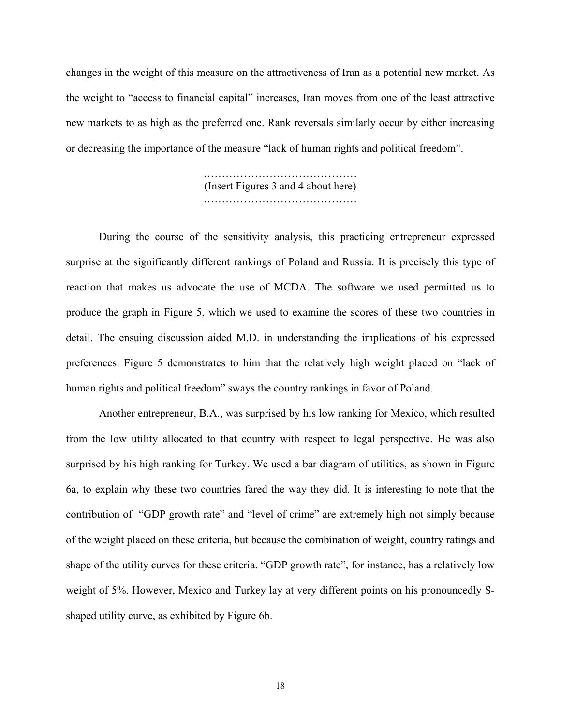changes in the weight of this measure on the attractiveness of Iran as a potential new market. As the weight to "access to financial capital" increases, Iran moves from one of the least attractive new markets to as high as the preferred one. Rank reversals similarly occur by either increasing or decreasing the importance of the measure "lack of human rights and political freedom".

> (Insert Figures 3 and 4 about here) ……………………………………

 During the course of the sensitivity analysis, this practicing entrepreneur expressed surprise at the significantly different rankings of Poland and Russia. It is precisely this type of reaction that makes us advocate the use of MCDA. The software we used permitted us to produce the graph in Figure 5, which we used to examine the scores of these two countries in detail. The ensuing discussion aided M.D. in understanding the implications of his expressed preferences. Figure 5 demonstrates to him that the relatively high weight placed on "lack of human rights and political freedom" sways the country rankings in favor of Poland.

Another entrepreneur, B.A., was surprised by his low ranking for Mexico, which resulted from the low utility allocated to that country with respect to legal perspective. He was also surprised by his high ranking for Turkey. We used a bar diagram of utilities, as shown in Figure 6a, to explain why these two countries fared the way they did. It is interesting to note that the contribution of "GDP growth rate" and "level of crime" are extremely high not simply because of the weight placed on these criteria, but because the combination of weight, country ratings and shape of the utility curves for these criteria. "GDP growth rate", for instance, has a relatively low weight of 5%. However, Mexico and Turkey lay at very different points on his pronouncedly Sshaped utility curve, as exhibited by Figure 6b.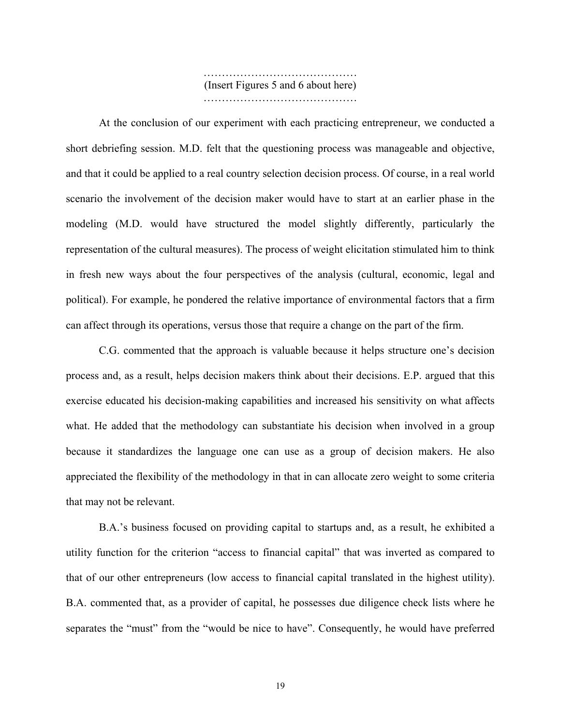…………………………………… (Insert Figures 5 and 6 about here) …………………………………………

 At the conclusion of our experiment with each practicing entrepreneur, we conducted a short debriefing session. M.D. felt that the questioning process was manageable and objective, and that it could be applied to a real country selection decision process. Of course, in a real world scenario the involvement of the decision maker would have to start at an earlier phase in the modeling (M.D. would have structured the model slightly differently, particularly the representation of the cultural measures). The process of weight elicitation stimulated him to think in fresh new ways about the four perspectives of the analysis (cultural, economic, legal and political). For example, he pondered the relative importance of environmental factors that a firm can affect through its operations, versus those that require a change on the part of the firm.

C.G. commented that the approach is valuable because it helps structure one's decision process and, as a result, helps decision makers think about their decisions. E.P. argued that this exercise educated his decision-making capabilities and increased his sensitivity on what affects what. He added that the methodology can substantiate his decision when involved in a group because it standardizes the language one can use as a group of decision makers. He also appreciated the flexibility of the methodology in that in can allocate zero weight to some criteria that may not be relevant.

B.A.'s business focused on providing capital to startups and, as a result, he exhibited a utility function for the criterion "access to financial capital" that was inverted as compared to that of our other entrepreneurs (low access to financial capital translated in the highest utility). B.A. commented that, as a provider of capital, he possesses due diligence check lists where he separates the "must" from the "would be nice to have". Consequently, he would have preferred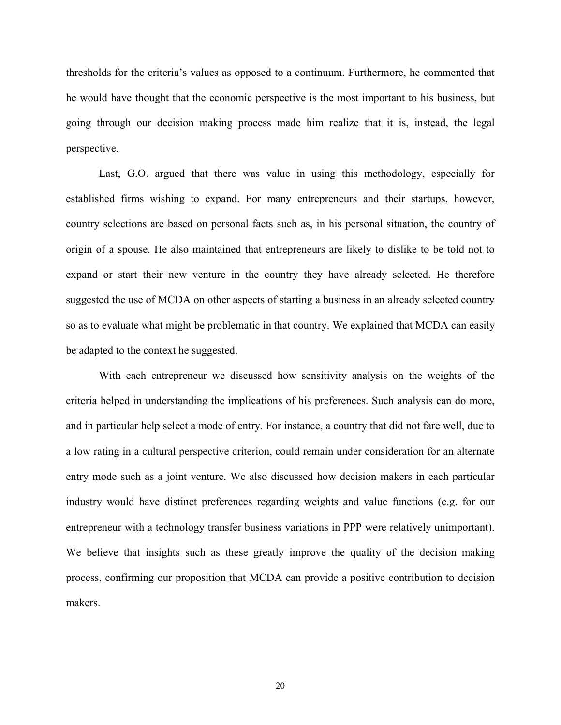thresholds for the criteria's values as opposed to a continuum. Furthermore, he commented that he would have thought that the economic perspective is the most important to his business, but going through our decision making process made him realize that it is, instead, the legal perspective.

Last, G.O. argued that there was value in using this methodology, especially for established firms wishing to expand. For many entrepreneurs and their startups, however, country selections are based on personal facts such as, in his personal situation, the country of origin of a spouse. He also maintained that entrepreneurs are likely to dislike to be told not to expand or start their new venture in the country they have already selected. He therefore suggested the use of MCDA on other aspects of starting a business in an already selected country so as to evaluate what might be problematic in that country. We explained that MCDA can easily be adapted to the context he suggested.

With each entrepreneur we discussed how sensitivity analysis on the weights of the criteria helped in understanding the implications of his preferences. Such analysis can do more, and in particular help select a mode of entry. For instance, a country that did not fare well, due to a low rating in a cultural perspective criterion, could remain under consideration for an alternate entry mode such as a joint venture. We also discussed how decision makers in each particular industry would have distinct preferences regarding weights and value functions (e.g. for our entrepreneur with a technology transfer business variations in PPP were relatively unimportant). We believe that insights such as these greatly improve the quality of the decision making process, confirming our proposition that MCDA can provide a positive contribution to decision makers.

20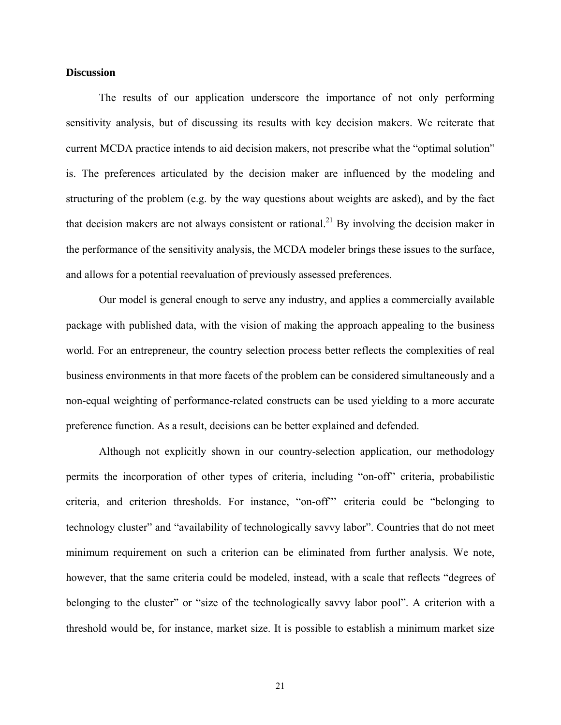#### **Discussion**

The results of our application underscore the importance of not only performing sensitivity analysis, but of discussing its results with key decision makers. We reiterate that current MCDA practice intends to aid decision makers, not prescribe what the "optimal solution" is. The preferences articulated by the decision maker are influenced by the modeling and structuring of the problem (e.g. by the way questions about weights are asked), and by the fact that decision makers are not always consistent or rational.<sup>21</sup> By involving the decision maker in the performance of the sensitivity analysis, the MCDA modeler brings these issues to the surface, and allows for a potential reevaluation of previously assessed preferences.

Our model is general enough to serve any industry, and applies a commercially available package with published data, with the vision of making the approach appealing to the business world. For an entrepreneur, the country selection process better reflects the complexities of real business environments in that more facets of the problem can be considered simultaneously and a non-equal weighting of performance-related constructs can be used yielding to a more accurate preference function. As a result, decisions can be better explained and defended.

Although not explicitly shown in our country-selection application, our methodology permits the incorporation of other types of criteria, including "on-off" criteria, probabilistic criteria, and criterion thresholds. For instance, "on-off"' criteria could be "belonging to technology cluster" and "availability of technologically savvy labor". Countries that do not meet minimum requirement on such a criterion can be eliminated from further analysis. We note, however, that the same criteria could be modeled, instead, with a scale that reflects "degrees of belonging to the cluster" or "size of the technologically savvy labor pool". A criterion with a threshold would be, for instance, market size. It is possible to establish a minimum market size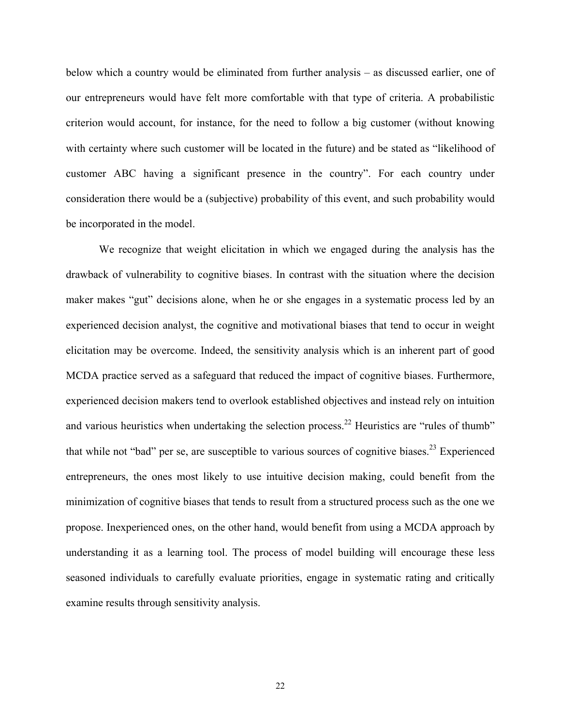below which a country would be eliminated from further analysis – as discussed earlier, one of our entrepreneurs would have felt more comfortable with that type of criteria. A probabilistic criterion would account, for instance, for the need to follow a big customer (without knowing with certainty where such customer will be located in the future) and be stated as "likelihood of customer ABC having a significant presence in the country". For each country under consideration there would be a (subjective) probability of this event, and such probability would be incorporated in the model.

We recognize that weight elicitation in which we engaged during the analysis has the drawback of vulnerability to cognitive biases. In contrast with the situation where the decision maker makes "gut" decisions alone, when he or she engages in a systematic process led by an experienced decision analyst, the cognitive and motivational biases that tend to occur in weight elicitation may be overcome. Indeed, the sensitivity analysis which is an inherent part of good MCDA practice served as a safeguard that reduced the impact of cognitive biases. Furthermore, experienced decision makers tend to overlook established objectives and instead rely on intuition and various heuristics when undertaking the selection process.<sup>22</sup> Heuristics are "rules of thumb" that while not "bad" per se, are susceptible to various sources of cognitive biases.<sup>23</sup> Experienced entrepreneurs, the ones most likely to use intuitive decision making, could benefit from the minimization of cognitive biases that tends to result from a structured process such as the one we propose. Inexperienced ones, on the other hand, would benefit from using a MCDA approach by understanding it as a learning tool. The process of model building will encourage these less seasoned individuals to carefully evaluate priorities, engage in systematic rating and critically examine results through sensitivity analysis.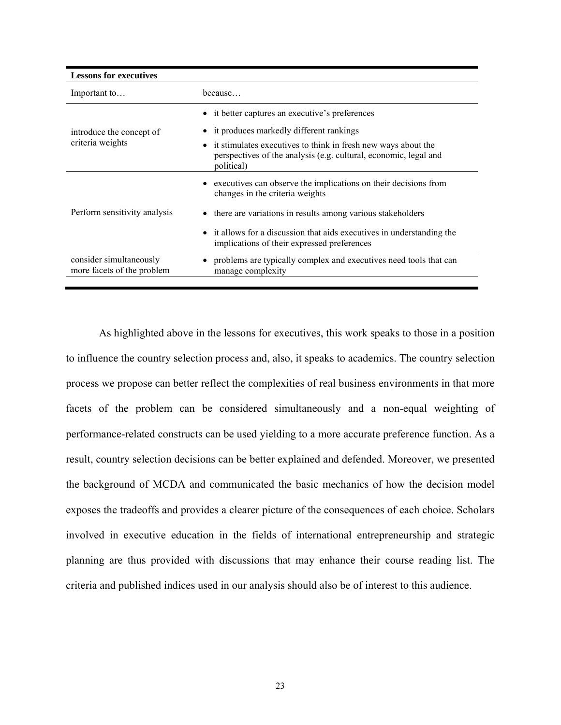| <b>Lessons for executives</b>                         |                                                                                                                                                 |
|-------------------------------------------------------|-------------------------------------------------------------------------------------------------------------------------------------------------|
| Important to                                          | because                                                                                                                                         |
|                                                       | • it better captures an executive's preferences                                                                                                 |
| introduce the concept of                              | • it produces markedly different rankings                                                                                                       |
| criteria weights                                      | it stimulates executives to think in fresh new ways about the<br>perspectives of the analysis (e.g. cultural, economic, legal and<br>political) |
|                                                       | • executives can observe the implications on their decisions from<br>changes in the criteria weights                                            |
| Perform sensitivity analysis                          | • there are variations in results among various stakeholders                                                                                    |
|                                                       | • it allows for a discussion that aids executives in understanding the<br>implications of their expressed preferences                           |
| consider simultaneously<br>more facets of the problem | problems are typically complex and executives need tools that can<br>manage complexity                                                          |

As highlighted above in the lessons for executives, this work speaks to those in a position to influence the country selection process and, also, it speaks to academics. The country selection process we propose can better reflect the complexities of real business environments in that more facets of the problem can be considered simultaneously and a non-equal weighting of performance-related constructs can be used yielding to a more accurate preference function. As a result, country selection decisions can be better explained and defended. Moreover, we presented the background of MCDA and communicated the basic mechanics of how the decision model exposes the tradeoffs and provides a clearer picture of the consequences of each choice. Scholars involved in executive education in the fields of international entrepreneurship and strategic planning are thus provided with discussions that may enhance their course reading list. The criteria and published indices used in our analysis should also be of interest to this audience.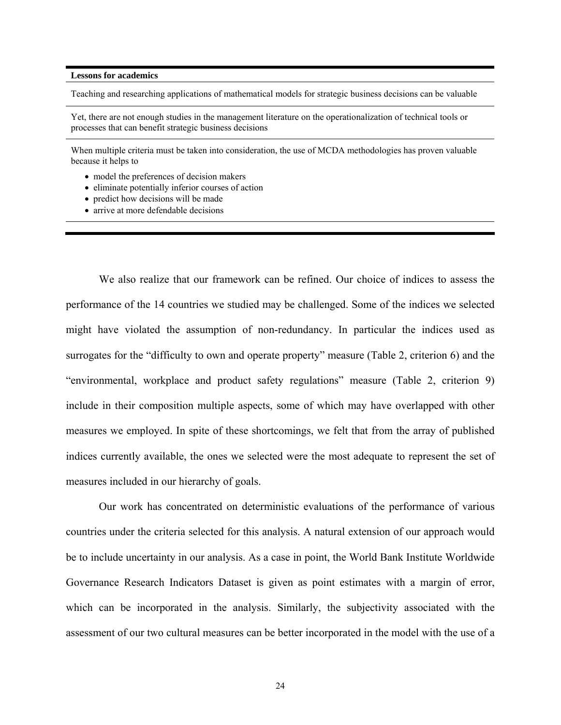#### **Lessons for academics**

Teaching and researching applications of mathematical models for strategic business decisions can be valuable

Yet, there are not enough studies in the management literature on the operationalization of technical tools or processes that can benefit strategic business decisions

When multiple criteria must be taken into consideration, the use of MCDA methodologies has proven valuable because it helps to

- model the preferences of decision makers
- eliminate potentially inferior courses of action
- predict how decisions will be made
- arrive at more defendable decisions

We also realize that our framework can be refined. Our choice of indices to assess the performance of the 14 countries we studied may be challenged. Some of the indices we selected might have violated the assumption of non-redundancy. In particular the indices used as surrogates for the "difficulty to own and operate property" measure (Table 2, criterion 6) and the "environmental, workplace and product safety regulations" measure (Table 2, criterion 9) include in their composition multiple aspects, some of which may have overlapped with other measures we employed. In spite of these shortcomings, we felt that from the array of published indices currently available, the ones we selected were the most adequate to represent the set of measures included in our hierarchy of goals.

Our work has concentrated on deterministic evaluations of the performance of various countries under the criteria selected for this analysis. A natural extension of our approach would be to include uncertainty in our analysis. As a case in point, the World Bank Institute Worldwide Governance Research Indicators Dataset is given as point estimates with a margin of error, which can be incorporated in the analysis. Similarly, the subjectivity associated with the assessment of our two cultural measures can be better incorporated in the model with the use of a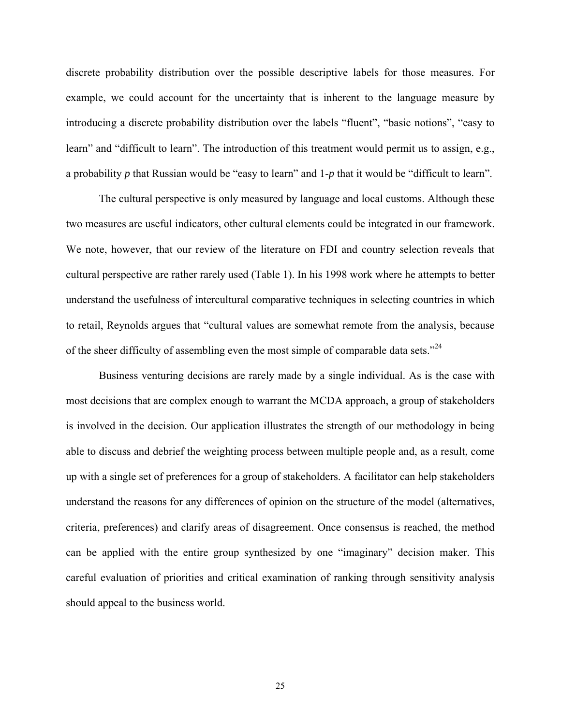discrete probability distribution over the possible descriptive labels for those measures. For example, we could account for the uncertainty that is inherent to the language measure by introducing a discrete probability distribution over the labels "fluent", "basic notions", "easy to learn" and "difficult to learn". The introduction of this treatment would permit us to assign, e.g., a probability *p* that Russian would be "easy to learn" and 1-*p* that it would be "difficult to learn".

The cultural perspective is only measured by language and local customs. Although these two measures are useful indicators, other cultural elements could be integrated in our framework. We note, however, that our review of the literature on FDI and country selection reveals that cultural perspective are rather rarely used (Table 1). In his 1998 work where he attempts to better understand the usefulness of intercultural comparative techniques in selecting countries in which to retail, Reynolds argues that "cultural values are somewhat remote from the analysis, because of the sheer difficulty of assembling even the most simple of comparable data sets."<sup>24</sup>

Business venturing decisions are rarely made by a single individual. As is the case with most decisions that are complex enough to warrant the MCDA approach, a group of stakeholders is involved in the decision. Our application illustrates the strength of our methodology in being able to discuss and debrief the weighting process between multiple people and, as a result, come up with a single set of preferences for a group of stakeholders. A facilitator can help stakeholders understand the reasons for any differences of opinion on the structure of the model (alternatives, criteria, preferences) and clarify areas of disagreement. Once consensus is reached, the method can be applied with the entire group synthesized by one "imaginary" decision maker. This careful evaluation of priorities and critical examination of ranking through sensitivity analysis should appeal to the business world.

25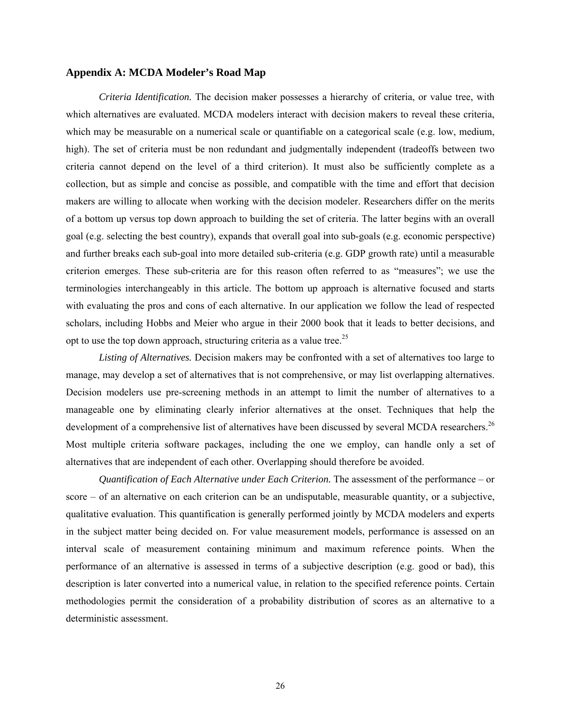#### **Appendix A: MCDA Modeler's Road Map**

*Criteria Identification.* The decision maker possesses a hierarchy of criteria, or value tree, with which alternatives are evaluated. MCDA modelers interact with decision makers to reveal these criteria, which may be measurable on a numerical scale or quantifiable on a categorical scale (e.g. low, medium, high). The set of criteria must be non redundant and judgmentally independent (tradeoffs between two criteria cannot depend on the level of a third criterion). It must also be sufficiently complete as a collection, but as simple and concise as possible, and compatible with the time and effort that decision makers are willing to allocate when working with the decision modeler. Researchers differ on the merits of a bottom up versus top down approach to building the set of criteria. The latter begins with an overall goal (e.g. selecting the best country), expands that overall goal into sub-goals (e.g. economic perspective) and further breaks each sub-goal into more detailed sub-criteria (e.g. GDP growth rate) until a measurable criterion emerges. These sub-criteria are for this reason often referred to as "measures"; we use the terminologies interchangeably in this article. The bottom up approach is alternative focused and starts with evaluating the pros and cons of each alternative. In our application we follow the lead of respected scholars, including Hobbs and Meier who argue in their 2000 book that it leads to better decisions, and opt to use the top down approach, structuring criteria as a value tree.<sup>25</sup>

*Listing of Alternatives.* Decision makers may be confronted with a set of alternatives too large to manage, may develop a set of alternatives that is not comprehensive, or may list overlapping alternatives. Decision modelers use pre-screening methods in an attempt to limit the number of alternatives to a manageable one by eliminating clearly inferior alternatives at the onset. Techniques that help the development of a comprehensive list of alternatives have been discussed by several MCDA researchers.<sup>26</sup> Most multiple criteria software packages, including the one we employ, can handle only a set of alternatives that are independent of each other. Overlapping should therefore be avoided.

*Quantification of Each Alternative under Each Criterion.* The assessment of the performance – or score – of an alternative on each criterion can be an undisputable, measurable quantity, or a subjective, qualitative evaluation. This quantification is generally performed jointly by MCDA modelers and experts in the subject matter being decided on. For value measurement models, performance is assessed on an interval scale of measurement containing minimum and maximum reference points. When the performance of an alternative is assessed in terms of a subjective description (e.g. good or bad), this description is later converted into a numerical value, in relation to the specified reference points. Certain methodologies permit the consideration of a probability distribution of scores as an alternative to a deterministic assessment.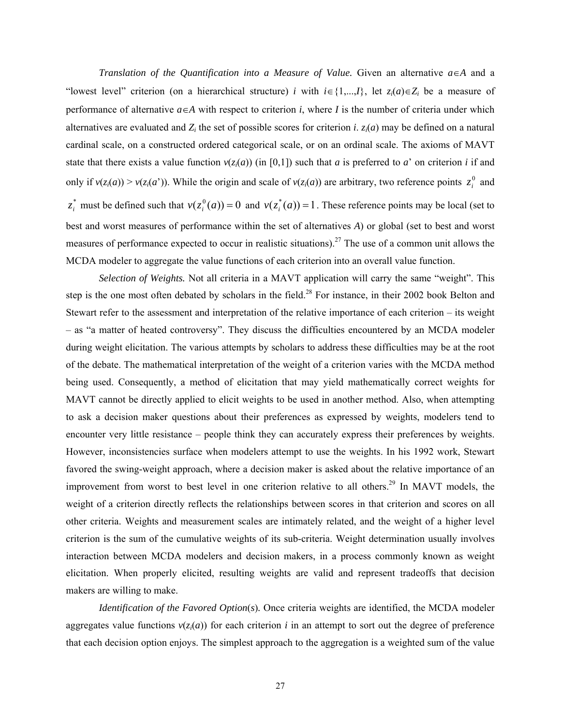*Translation of the Quantification into a Measure of Value.* Given an alternative *a*∈*A* and a "lowest level" criterion (on a hierarchical structure) *i* with  $i \in \{1,...,l\}$ , let  $z_i(a) \in Z_i$  be a measure of performance of alternative  $a \in A$  with respect to criterion *i*, where *I* is the number of criteria under which alternatives are evaluated and  $Z_i$  the set of possible scores for criterion *i*.  $z_i(a)$  may be defined on a natural cardinal scale, on a constructed ordered categorical scale, or on an ordinal scale. The axioms of MAVT state that there exists a value function  $v(z_i(a))$  (in [0,1]) such that *a* is preferred to *a*' on criterion *i* if and only if  $v(z_i(a)) > v(z_i(a'))$ . While the origin and scale of  $v(z_i(a))$  are arbitrary, two reference points  $z_i^0$  and  $z_i^*$  must be defined such that  $v(z_i^0(a)) = 0$  and  $v(z_i^*(a)) = 1$ . These reference points may be local (set to best and worst measures of performance within the set of alternatives *A*) or global (set to best and worst measures of performance expected to occur in realistic situations).<sup>27</sup> The use of a common unit allows the MCDA modeler to aggregate the value functions of each criterion into an overall value function.

*Selection of Weights.* Not all criteria in a MAVT application will carry the same "weight". This step is the one most often debated by scholars in the field.<sup>28</sup> For instance, in their 2002 book Belton and Stewart refer to the assessment and interpretation of the relative importance of each criterion – its weight – as "a matter of heated controversy". They discuss the difficulties encountered by an MCDA modeler during weight elicitation. The various attempts by scholars to address these difficulties may be at the root of the debate. The mathematical interpretation of the weight of a criterion varies with the MCDA method being used. Consequently, a method of elicitation that may yield mathematically correct weights for MAVT cannot be directly applied to elicit weights to be used in another method. Also, when attempting to ask a decision maker questions about their preferences as expressed by weights, modelers tend to encounter very little resistance – people think they can accurately express their preferences by weights. However, inconsistencies surface when modelers attempt to use the weights. In his 1992 work, Stewart favored the swing-weight approach, where a decision maker is asked about the relative importance of an improvement from worst to best level in one criterion relative to all others.<sup>29</sup> In MAVT models, the weight of a criterion directly reflects the relationships between scores in that criterion and scores on all other criteria. Weights and measurement scales are intimately related, and the weight of a higher level criterion is the sum of the cumulative weights of its sub-criteria. Weight determination usually involves interaction between MCDA modelers and decision makers, in a process commonly known as weight elicitation. When properly elicited, resulting weights are valid and represent tradeoffs that decision makers are willing to make.

*Identification of the Favored Option*(*s*)*.* Once criteria weights are identified, the MCDA modeler aggregates value functions  $v(z<sub>i</sub>(a))$  for each criterion *i* in an attempt to sort out the degree of preference that each decision option enjoys. The simplest approach to the aggregation is a weighted sum of the value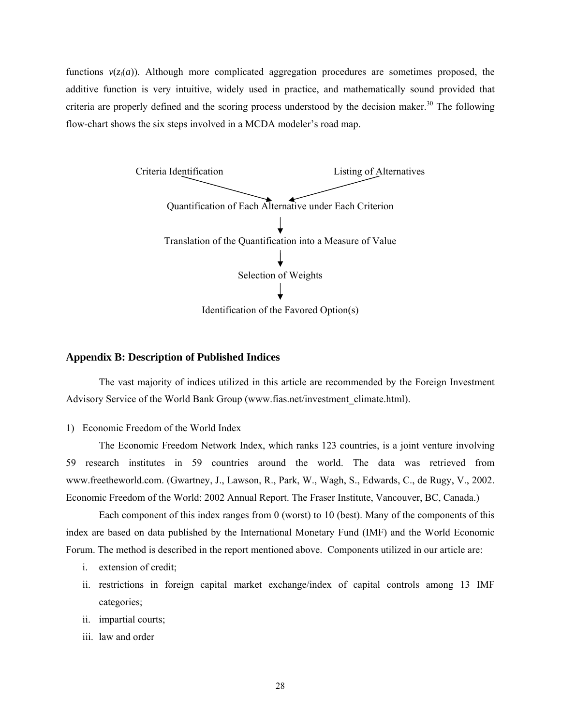functions  $v(z<sub>i</sub>(a))$ . Although more complicated aggregation procedures are sometimes proposed, the additive function is very intuitive, widely used in practice, and mathematically sound provided that criteria are properly defined and the scoring process understood by the decision maker.<sup>30</sup> The following flow-chart shows the six steps involved in a MCDA modeler's road map.



#### **Appendix B: Description of Published Indices**

The vast majority of indices utilized in this article are recommended by the Foreign Investment Advisory Service of the World Bank Group (www.fias.net/investment\_climate.html).

1) Economic Freedom of the World Index

The Economic Freedom Network Index, which ranks 123 countries, is a joint venture involving 59 research institutes in 59 countries around the world. The data was retrieved from www.freetheworld.com. (Gwartney, J., Lawson, R., Park, W., Wagh, S., Edwards, C., de Rugy, V., 2002. Economic Freedom of the World: 2002 Annual Report. The Fraser Institute, Vancouver, BC, Canada.)

Each component of this index ranges from 0 (worst) to 10 (best). Many of the components of this index are based on data published by the International Monetary Fund (IMF) and the World Economic Forum. The method is described in the report mentioned above. Components utilized in our article are:

- i. extension of credit;
- ii. restrictions in foreign capital market exchange/index of capital controls among 13 IMF categories;
- ii. impartial courts;
- iii. law and order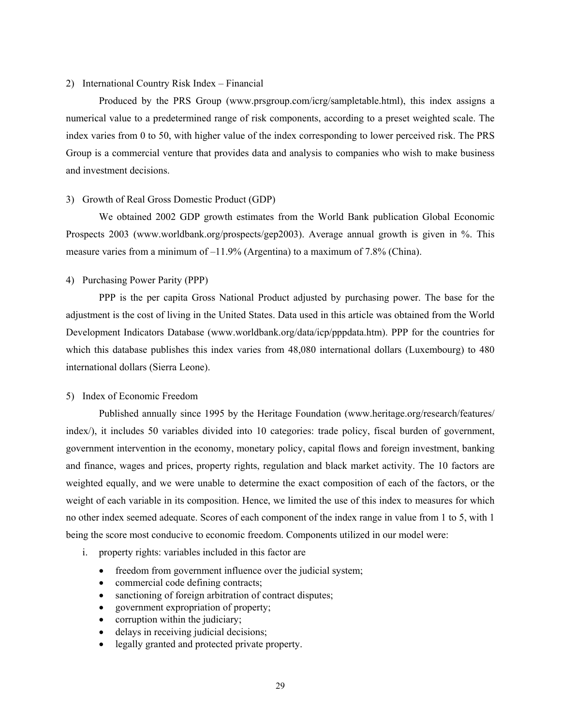#### 2) International Country Risk Index – Financial

 Produced by the PRS Group (www.prsgroup.com/icrg/sampletable.html), this index assigns a numerical value to a predetermined range of risk components, according to a preset weighted scale. The index varies from 0 to 50, with higher value of the index corresponding to lower perceived risk. The PRS Group is a commercial venture that provides data and analysis to companies who wish to make business and investment decisions.

#### 3) Growth of Real Gross Domestic Product (GDP)

We obtained 2002 GDP growth estimates from the World Bank publication Global Economic Prospects 2003 (www.worldbank.org/prospects/gep2003). Average annual growth is given in %. This measure varies from a minimum of –11.9% (Argentina) to a maximum of 7.8% (China).

#### 4) Purchasing Power Parity (PPP)

PPP is the per capita Gross National Product adjusted by purchasing power. The base for the adjustment is the cost of living in the United States. Data used in this article was obtained from the World Development Indicators Database (www.worldbank.org/data/icp/pppdata.htm). PPP for the countries for which this database publishes this index varies from 48,080 international dollars (Luxembourg) to 480 international dollars (Sierra Leone).

#### 5) Index of Economic Freedom

Published annually since 1995 by the Heritage Foundation (www.heritage.org/research/features/ index/), it includes 50 variables divided into 10 categories: trade policy, fiscal burden of government, government intervention in the economy, monetary policy, capital flows and foreign investment, banking and finance, wages and prices, property rights, regulation and black market activity. The 10 factors are weighted equally, and we were unable to determine the exact composition of each of the factors, or the weight of each variable in its composition. Hence, we limited the use of this index to measures for which no other index seemed adequate. Scores of each component of the index range in value from 1 to 5, with 1 being the score most conducive to economic freedom. Components utilized in our model were:

- i. property rights: variables included in this factor are
	- freedom from government influence over the judicial system;
	- commercial code defining contracts;
	- sanctioning of foreign arbitration of contract disputes;
	- government expropriation of property;
	- corruption within the judiciary;
	- delays in receiving judicial decisions;
	- legally granted and protected private property.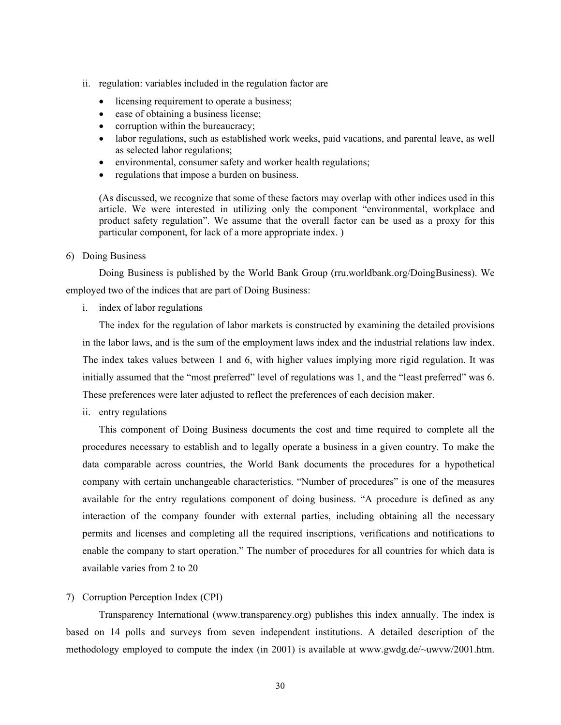- ii. regulation: variables included in the regulation factor are
	- licensing requirement to operate a business;
	- ease of obtaining a business license;
	- corruption within the bureaucracy;
	- labor regulations, such as established work weeks, paid vacations, and parental leave, as well as selected labor regulations;
	- environmental, consumer safety and worker health regulations;
	- regulations that impose a burden on business.

(As discussed, we recognize that some of these factors may overlap with other indices used in this article. We were interested in utilizing only the component "environmental, workplace and product safety regulation". We assume that the overall factor can be used as a proxy for this particular component, for lack of a more appropriate index. )

6) Doing Business

Doing Business is published by the World Bank Group (rru.worldbank.org/DoingBusiness). We employed two of the indices that are part of Doing Business:

i. index of labor regulations

The index for the regulation of labor markets is constructed by examining the detailed provisions in the labor laws, and is the sum of the employment laws index and the industrial relations law index. The index takes values between 1 and 6, with higher values implying more rigid regulation. It was initially assumed that the "most preferred" level of regulations was 1, and the "least preferred" was 6. These preferences were later adjusted to reflect the preferences of each decision maker.

ii. entry regulations

This component of Doing Business documents the cost and time required to complete all the procedures necessary to establish and to legally operate a business in a given country. To make the data comparable across countries, the World Bank documents the procedures for a hypothetical company with certain unchangeable characteristics. "Number of procedures" is one of the measures available for the entry regulations component of doing business. "A procedure is defined as any interaction of the company founder with external parties, including obtaining all the necessary permits and licenses and completing all the required inscriptions, verifications and notifications to enable the company to start operation." The number of procedures for all countries for which data is available varies from 2 to 20

7) Corruption Perception Index (CPI)

Transparency International (www.transparency.org) publishes this index annually. The index is based on 14 polls and surveys from seven independent institutions. A detailed description of the methodology employed to compute the index (in 2001) is available at www.gwdg.de/~uwvw/2001.htm.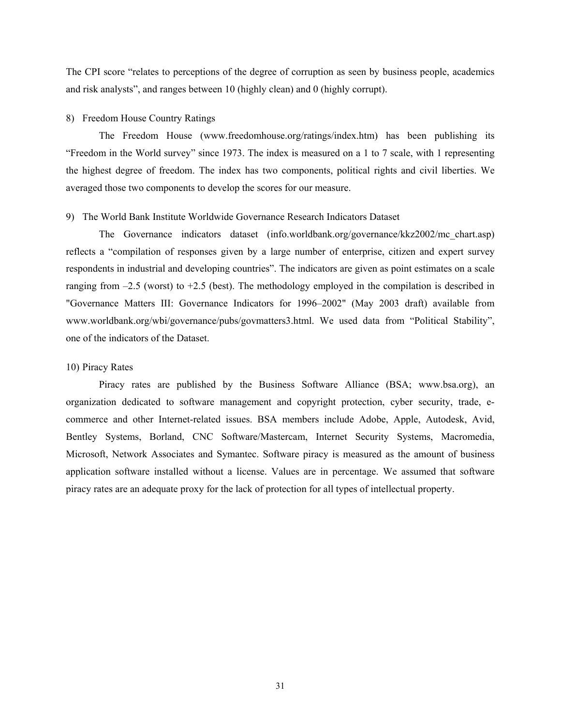The CPI score "relates to perceptions of the degree of corruption as seen by business people, academics and risk analysts", and ranges between 10 (highly clean) and 0 (highly corrupt).

#### 8) Freedom House Country Ratings

The Freedom House (www.freedomhouse.org/ratings/index.htm) has been publishing its "Freedom in the World survey" since 1973. The index is measured on a 1 to 7 scale, with 1 representing the highest degree of freedom. The index has two components, political rights and civil liberties. We averaged those two components to develop the scores for our measure.

#### 9) The World Bank Institute Worldwide Governance Research Indicators Dataset

 The Governance indicators dataset (info.worldbank.org/governance/kkz2002/mc\_chart.asp) reflects a "compilation of responses given by a large number of enterprise, citizen and expert survey respondents in industrial and developing countries". The indicators are given as point estimates on a scale ranging from –2.5 (worst) to +2.5 (best). The methodology employed in the compilation is described in "Governance Matters III: Governance Indicators for 1996–2002" (May 2003 draft) available from www.worldbank.org/wbi/governance/pubs/govmatters3.html. We used data from "Political Stability", one of the indicators of the Dataset.

#### 10) Piracy Rates

Piracy rates are published by the Business Software Alliance (BSA; www.bsa.org), an organization dedicated to software management and copyright protection, cyber security, trade, ecommerce and other Internet-related issues. BSA members include Adobe, Apple, Autodesk, Avid, Bentley Systems, Borland, CNC Software/Mastercam, Internet Security Systems, Macromedia, Microsoft, Network Associates and Symantec. Software piracy is measured as the amount of business application software installed without a license. Values are in percentage. We assumed that software piracy rates are an adequate proxy for the lack of protection for all types of intellectual property.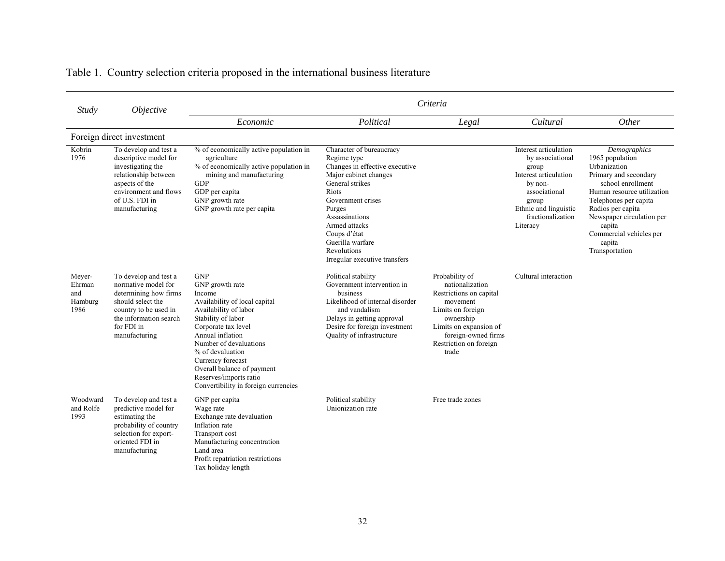| <b>Study</b>                               | Objective                                                                                                                                                                    | Criteria                                                                                                                                                                                                                                                                                                                              |                                                                                                                                                                                                                                                                                             |                                                                                                                                                                                                |                                                                                                                                                                            |                                                                                                                                                                                                                                                                         |  |  |  |  |
|--------------------------------------------|------------------------------------------------------------------------------------------------------------------------------------------------------------------------------|---------------------------------------------------------------------------------------------------------------------------------------------------------------------------------------------------------------------------------------------------------------------------------------------------------------------------------------|---------------------------------------------------------------------------------------------------------------------------------------------------------------------------------------------------------------------------------------------------------------------------------------------|------------------------------------------------------------------------------------------------------------------------------------------------------------------------------------------------|----------------------------------------------------------------------------------------------------------------------------------------------------------------------------|-------------------------------------------------------------------------------------------------------------------------------------------------------------------------------------------------------------------------------------------------------------------------|--|--|--|--|
|                                            |                                                                                                                                                                              | Economic                                                                                                                                                                                                                                                                                                                              | Political                                                                                                                                                                                                                                                                                   | Legal                                                                                                                                                                                          | Cultural                                                                                                                                                                   | Other                                                                                                                                                                                                                                                                   |  |  |  |  |
|                                            | Foreign direct investment                                                                                                                                                    |                                                                                                                                                                                                                                                                                                                                       |                                                                                                                                                                                                                                                                                             |                                                                                                                                                                                                |                                                                                                                                                                            |                                                                                                                                                                                                                                                                         |  |  |  |  |
| Kobrin<br>1976                             | To develop and test a<br>descriptive model for<br>investigating the<br>relationship between<br>aspects of the<br>environment and flows<br>of U.S. FDI in<br>manufacturing    | % of economically active population in<br>agriculture<br>% of economically active population in<br>mining and manufacturing<br><b>GDP</b><br>GDP per capita<br>GNP growth rate<br>GNP growth rate per capita                                                                                                                          | Character of bureaucracy<br>Regime type<br>Changes in effective executive<br>Major cabinet changes<br>General strikes<br><b>Riots</b><br>Government crises<br>Purges<br>Assassinations<br>Armed attacks<br>Coups d'état<br>Guerilla warfare<br>Revolutions<br>Irregular executive transfers |                                                                                                                                                                                                | Interest articulation<br>by associational<br>group<br>Interest articulation<br>by non-<br>associational<br>group<br>Ethnic and linguistic<br>fractionalization<br>Literacy | Demographics<br>1965 population<br>Urbanization<br>Primary and secondary<br>school enrollment<br>Human resource utilization<br>Telephones per capita<br>Radios per capita<br>Newspaper circulation per<br>capita<br>Commercial vehicles per<br>capita<br>Transportation |  |  |  |  |
| Meyer-<br>Ehrman<br>and<br>Hamburg<br>1986 | To develop and test a<br>normative model for<br>determining how firms<br>should select the<br>country to be used in<br>the information search<br>for FDI in<br>manufacturing | <b>GNP</b><br>GNP growth rate<br>Income<br>Availability of local capital<br>Availability of labor<br>Stability of labor<br>Corporate tax level<br>Annual inflation<br>Number of devaluations<br>% of devaluation<br>Currency forecast<br>Overall balance of payment<br>Reserves/imports ratio<br>Convertibility in foreign currencies | Political stability<br>Government intervention in<br>business<br>Likelihood of internal disorder<br>and vandalism<br>Delays in getting approval<br>Desire for foreign investment<br><b>Ouality of infrastructure</b>                                                                        | Probability of<br>nationalization<br>Restrictions on capital<br>movement<br>Limits on foreign<br>ownership<br>Limits on expansion of<br>foreign-owned firms<br>Restriction on foreign<br>trade | Cultural interaction                                                                                                                                                       |                                                                                                                                                                                                                                                                         |  |  |  |  |
| Woodward<br>and Rolfe<br>1993              | To develop and test a<br>predictive model for<br>estimating the<br>probability of country<br>selection for export-<br>oriented FDI in<br>manufacturing                       | GNP per capita<br>Wage rate<br>Exchange rate devaluation<br>Inflation rate<br>Transport cost<br>Manufacturing concentration<br>Land area<br>Profit repatriation restrictions<br>Tax holiday length                                                                                                                                    | Political stability<br>Unionization rate                                                                                                                                                                                                                                                    | Free trade zones                                                                                                                                                                               |                                                                                                                                                                            |                                                                                                                                                                                                                                                                         |  |  |  |  |

## Table 1. Country selection criteria proposed in the international business literature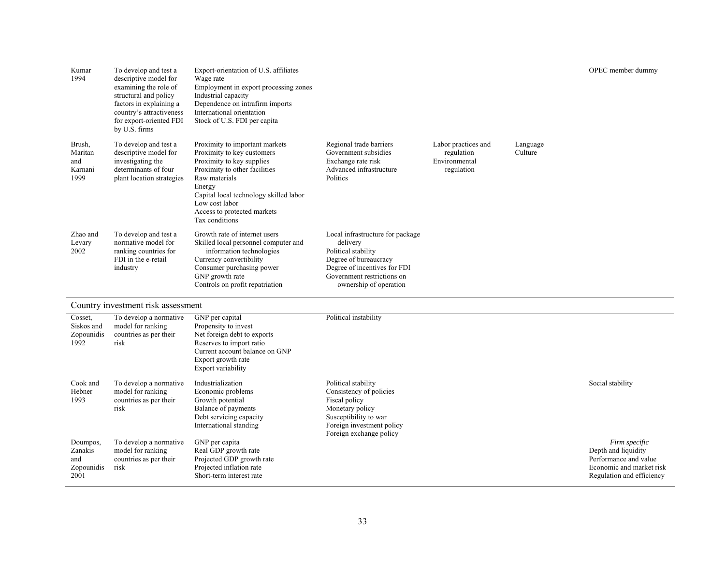| Kumar<br>1994                               | To develop and test a<br>descriptive model for<br>examining the role of<br>structural and policy<br>factors in explaining a<br>country's attractiveness<br>for export-oriented FDI<br>by U.S. firms | Export-orientation of U.S. affiliates<br>Wage rate<br>Employment in export processing zones<br>Industrial capacity<br>Dependence on intrafirm imports<br>International orientation<br>Stock of U.S. FDI per capita                                                 |                                                                                                                                                                                      |                                                                  |                     | OPEC member dummy |
|---------------------------------------------|-----------------------------------------------------------------------------------------------------------------------------------------------------------------------------------------------------|--------------------------------------------------------------------------------------------------------------------------------------------------------------------------------------------------------------------------------------------------------------------|--------------------------------------------------------------------------------------------------------------------------------------------------------------------------------------|------------------------------------------------------------------|---------------------|-------------------|
| Brush,<br>Maritan<br>and<br>Karnani<br>1999 | To develop and test a<br>descriptive model for<br>investigating the<br>determinants of four<br>plant location strategies                                                                            | Proximity to important markets<br>Proximity to key customers<br>Proximity to key supplies<br>Proximity to other facilities<br>Raw materials<br>Energy<br>Capital local technology skilled labor<br>Low cost labor<br>Access to protected markets<br>Tax conditions | Regional trade barriers<br>Government subsidies<br>Exchange rate risk<br>Advanced infrastructure<br>Politics                                                                         | Labor practices and<br>regulation<br>Environmental<br>regulation | Language<br>Culture |                   |
| Zhao and<br>Levary<br>2002                  | To develop and test a<br>normative model for<br>ranking countries for<br>FDI in the e-retail<br>industry                                                                                            | Growth rate of internet users<br>Skilled local personnel computer and<br>information technologies<br>Currency convertibility<br>Consumer purchasing power<br>GNP growth rate<br>Controls on profit repatriation                                                    | Local infrastructure for package<br>delivery<br>Political stability<br>Degree of bureaucracy<br>Degree of incentives for FDI<br>Government restrictions on<br>ownership of operation |                                                                  |                     |                   |

### Country investment risk assessment

| Cosset,<br>Siskos and<br>Zopounidis<br>1992      | To develop a normative<br>model for ranking<br>countries as per their<br>risk | GNP per capital<br>Propensity to invest<br>Net foreign debt to exports<br>Reserves to import ratio<br>Current account balance on GNP<br>Export growth rate<br>Export variability | Political instability                                                                                                                                               |                                                                                                                        |
|--------------------------------------------------|-------------------------------------------------------------------------------|----------------------------------------------------------------------------------------------------------------------------------------------------------------------------------|---------------------------------------------------------------------------------------------------------------------------------------------------------------------|------------------------------------------------------------------------------------------------------------------------|
| Cook and<br>Hebner<br>1993                       | To develop a normative<br>model for ranking<br>countries as per their<br>risk | Industrialization<br>Economic problems<br>Growth potential<br>Balance of payments<br>Debt servicing capacity<br>International standing                                           | Political stability<br>Consistency of policies<br>Fiscal policy<br>Monetary policy<br>Susceptibility to war<br>Foreign investment policy<br>Foreign exchange policy | Social stability                                                                                                       |
| Doumpos,<br>Zanakis<br>and<br>Zopounidis<br>2001 | To develop a normative<br>model for ranking<br>countries as per their<br>risk | GNP per capita<br>Real GDP growth rate<br>Projected GDP growth rate<br>Projected inflation rate<br>Short-term interest rate                                                      |                                                                                                                                                                     | Firm specific<br>Depth and liquidity<br>Performance and value<br>Economic and market risk<br>Regulation and efficiency |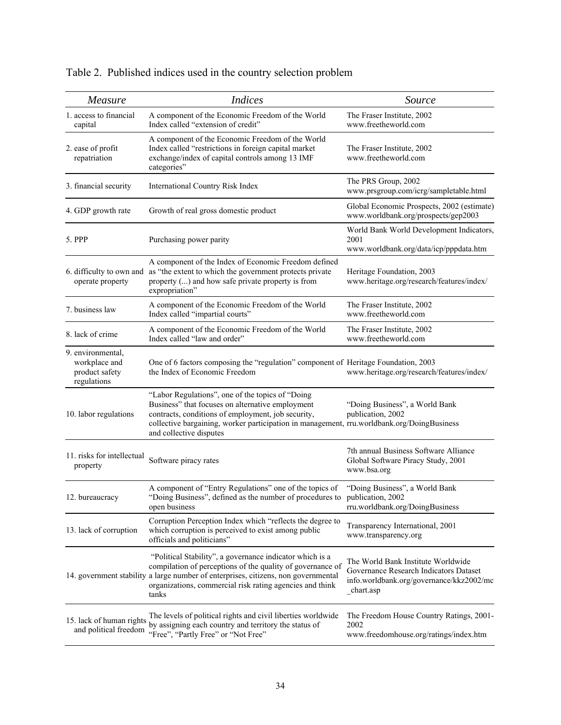| Measure                                                             | <i>Indices</i>                                                                                                                                                                                                                                                                      | Source                                                                                                                                |
|---------------------------------------------------------------------|-------------------------------------------------------------------------------------------------------------------------------------------------------------------------------------------------------------------------------------------------------------------------------------|---------------------------------------------------------------------------------------------------------------------------------------|
| 1. access to financial<br>capital                                   | A component of the Economic Freedom of the World<br>Index called "extension of credit"                                                                                                                                                                                              | The Fraser Institute, 2002<br>www.freetheworld.com                                                                                    |
| 2. ease of profit<br>repatriation                                   | A component of the Economic Freedom of the World<br>Index called "restrictions in foreign capital market<br>exchange/index of capital controls among 13 IMF<br>categories"                                                                                                          | The Fraser Institute, 2002<br>www.freetheworld.com                                                                                    |
| 3. financial security                                               | International Country Risk Index                                                                                                                                                                                                                                                    | The PRS Group, 2002<br>www.prsgroup.com/icrg/sampletable.html                                                                         |
| 4. GDP growth rate                                                  | Growth of real gross domestic product                                                                                                                                                                                                                                               | Global Economic Prospects, 2002 (estimate)<br>www.worldbank.org/prospects/gep2003                                                     |
| 5. PPP                                                              | Purchasing power parity                                                                                                                                                                                                                                                             | World Bank World Development Indicators,<br>2001<br>www.worldbank.org/data/icp/pppdata.htm                                            |
| 6. difficulty to own and<br>operate property                        | A component of the Index of Economic Freedom defined<br>as "the extent to which the government protects private<br>property () and how safe private property is from<br>expropriation"                                                                                              | Heritage Foundation, 2003<br>www.heritage.org/research/features/index/                                                                |
| 7. business law                                                     | A component of the Economic Freedom of the World<br>Index called "impartial courts"                                                                                                                                                                                                 | The Fraser Institute, 2002<br>www.freetheworld.com                                                                                    |
| 8. lack of crime                                                    | A component of the Economic Freedom of the World<br>Index called "law and order"                                                                                                                                                                                                    | The Fraser Institute, 2002<br>www.freetheworld.com                                                                                    |
| 9. environmental,<br>workplace and<br>product safety<br>regulations | One of 6 factors composing the "regulation" component of Heritage Foundation, 2003<br>the Index of Economic Freedom                                                                                                                                                                 | www.heritage.org/research/features/index/                                                                                             |
| 10. labor regulations                                               | "Labor Regulations", one of the topics of "Doing<br>Business" that focuses on alternative employment<br>contracts, conditions of employment, job security,<br>collective bargaining, worker participation in management, rru.worldbank.org/DoingBusiness<br>and collective disputes | "Doing Business", a World Bank<br>publication, 2002                                                                                   |
| 11. risks for intellectual<br>property                              | Software piracy rates                                                                                                                                                                                                                                                               | 7th annual Business Software Alliance<br>Global Software Piracy Study, 2001<br>www.bsa.org                                            |
| 12. bureaucracy                                                     | A component of "Entry Regulations" one of the topics of<br>"Doing Business", defined as the number of procedures to<br>open business                                                                                                                                                | "Doing Business", a World Bank<br>publication, 2002<br>rru.worldbank.org/DoingBusiness                                                |
| 13. lack of corruption                                              | Corruption Perception Index which "reflects the degree to<br>which corruption is perceived to exist among public<br>officials and politicians"                                                                                                                                      | Transparency International, 2001<br>www.transparency.org                                                                              |
|                                                                     | "Political Stability", a governance indicator which is a<br>compilation of perceptions of the quality of governance of<br>14. government stability a large number of enterprises, citizens, non governmental<br>organizations, commercial risk rating agencies and think<br>tanks   | The World Bank Institute Worldwide<br>Governance Research Indicators Dataset<br>info.worldbank.org/governance/kkz2002/mc<br>chart.asp |
| 15. lack of human rights<br>and political freedom                   | The levels of political rights and civil liberties worldwide<br>by assigning each country and territory the status of<br>"Free", "Partly Free" or "Not Free"                                                                                                                        | The Freedom House Country Ratings, 2001-<br>2002<br>www.freedomhouse.org/ratings/index.htm                                            |

# Table 2. Published indices used in the country selection problem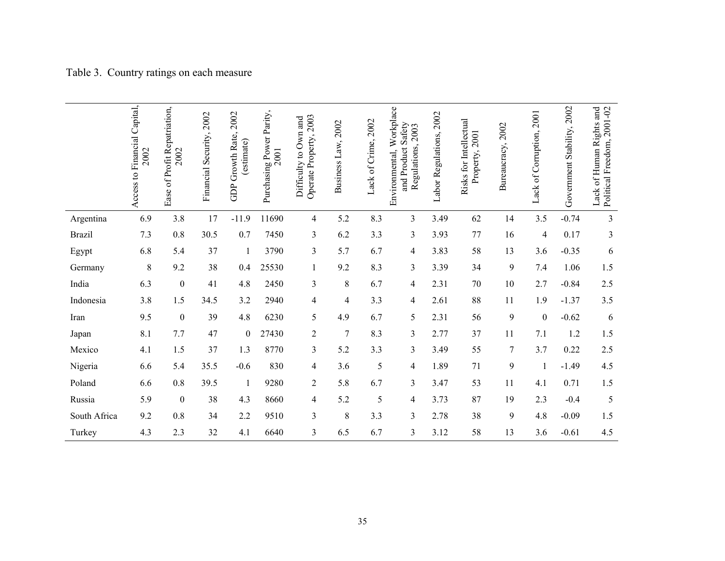|               | Access to Financial Capital,<br>2002 | of Profit Repatriation,<br>2002<br>Ease | Financial Security, 2002 | 2002<br>GDP Growth Rate,<br>estimate) | Purchasing Power Parity,<br>2001 | Operate Property, 2003<br>Difficulty to Own and | 2002<br>Business Law, | Lack of Crime, 2002 | Environmental, Workplace<br>and Product Safety<br>Regulations, 2003 | Labor Regulations, 2002 | Risks for Intellectual<br>Property, 2001 | 2002<br>Bureaucracy, | 2001<br>Lack of Corruption, | Government Stability, 2002 | Political Freedom, 2001-02<br>Lack of Human Rights and |
|---------------|--------------------------------------|-----------------------------------------|--------------------------|---------------------------------------|----------------------------------|-------------------------------------------------|-----------------------|---------------------|---------------------------------------------------------------------|-------------------------|------------------------------------------|----------------------|-----------------------------|----------------------------|--------------------------------------------------------|
| Argentina     | 6.9                                  | 3.8                                     | 17                       | $-11.9$                               | 11690                            | 4                                               | 5.2                   | 8.3                 | 3                                                                   | 3.49                    | 62                                       | 14                   | 3.5                         | $-0.74$                    | 3                                                      |
| <b>Brazil</b> | 7.3                                  | 0.8                                     | 30.5                     | 0.7                                   | 7450                             | 3                                               | 6.2                   | 3.3                 | 3                                                                   | 3.93                    | 77                                       | 16                   | 4                           | 0.17                       | $\mathfrak{Z}$                                         |
| Egypt         | 6.8                                  | 5.4                                     | 37                       | $\mathbf{1}$                          | 3790                             | 3                                               | 5.7                   | 6.7                 | 4                                                                   | 3.83                    | 58                                       | 13                   | 3.6                         | $-0.35$                    | 6                                                      |
| Germany       | 8                                    | 9.2                                     | 38                       | 0.4                                   | 25530                            | 1                                               | 9.2                   | 8.3                 | 3                                                                   | 3.39                    | 34                                       | 9                    | 7.4                         | 1.06                       | 1.5                                                    |
| India         | 6.3                                  | $\boldsymbol{0}$                        | 41                       | 4.8                                   | 2450                             | $\overline{\mathbf{3}}$                         | $\,$ 8 $\,$           | 6.7                 | 4                                                                   | 2.31                    | 70                                       | 10                   | 2.7                         | $-0.84$                    | 2.5                                                    |
| Indonesia     | 3.8                                  | 1.5                                     | 34.5                     | 3.2                                   | 2940                             | 4                                               | 4                     | 3.3                 | 4                                                                   | 2.61                    | 88                                       | 11                   | 1.9                         | $-1.37$                    | 3.5                                                    |
| Iran          | 9.5                                  | $\boldsymbol{0}$                        | 39                       | 4.8                                   | 6230                             | 5                                               | 4.9                   | 6.7                 | 5                                                                   | 2.31                    | 56                                       | 9                    | $\boldsymbol{0}$            | $-0.62$                    | 6                                                      |
| Japan         | 8.1                                  | 7.7                                     | 47                       | $\theta$                              | 27430                            | $\overline{c}$                                  | 7                     | 8.3                 | 3                                                                   | 2.77                    | 37                                       | 11                   | 7.1                         | 1.2                        | 1.5                                                    |
| Mexico        | 4.1                                  | 1.5                                     | 37                       | 1.3                                   | 8770                             | $\overline{\mathbf{3}}$                         | 5.2                   | 3.3                 | 3                                                                   | 3.49                    | 55                                       | 7                    | 3.7                         | 0.22                       | 2.5                                                    |
| Nigeria       | 6.6                                  | 5.4                                     | 35.5                     | $-0.6$                                | 830                              | 4                                               | 3.6                   | 5                   | 4                                                                   | 1.89                    | 71                                       | 9                    | 1                           | $-1.49$                    | 4.5                                                    |
| Poland        | 6.6                                  | 0.8                                     | 39.5                     | $\mathbf{1}$                          | 9280                             | $\overline{2}$                                  | 5.8                   | 6.7                 | 3                                                                   | 3.47                    | 53                                       | 11                   | 4.1                         | 0.71                       | 1.5                                                    |
| Russia        | 5.9                                  | $\boldsymbol{0}$                        | 38                       | 4.3                                   | 8660                             | 4                                               | 5.2                   | 5                   | 4                                                                   | 3.73                    | 87                                       | 19                   | 2.3                         | $-0.4$                     | 5                                                      |
| South Africa  | 9.2                                  | $0.8\,$                                 | 34                       | 2.2                                   | 9510                             | $\overline{\mathbf{3}}$                         | 8                     | 3.3                 | 3                                                                   | 2.78                    | 38                                       | 9                    | 4.8                         | $-0.09$                    | 1.5                                                    |
| Turkey        | 4.3                                  | 2.3                                     | 32                       | 4.1                                   | 6640                             | 3                                               | 6.5                   | 6.7                 | 3                                                                   | 3.12                    | 58                                       | 13                   | 3.6                         | $-0.61$                    | 4.5                                                    |

# Table 3. Country ratings on each measure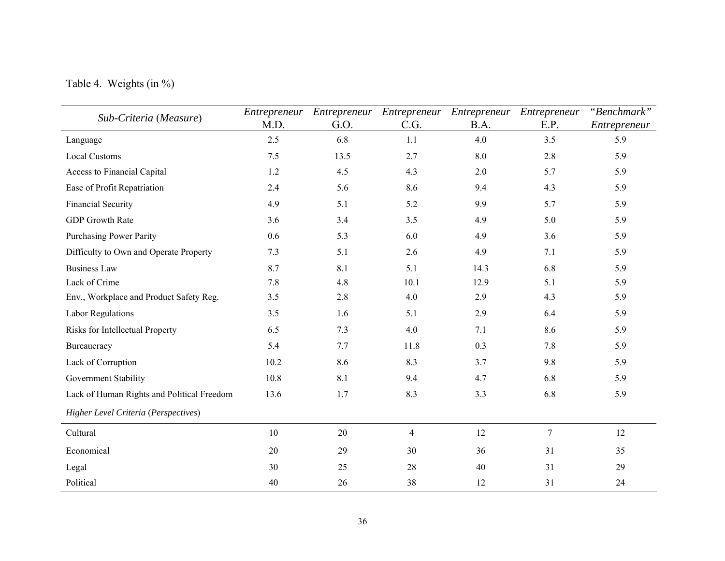# Table 4. Weights (in %)

| Sub-Criteria (Measure)                     | Entrepreneur | Entrepreneur | Entrepreneur   | Entrepreneur | Entrepreneur   | "Benchmark"  |
|--------------------------------------------|--------------|--------------|----------------|--------------|----------------|--------------|
|                                            | M.D.         | G.O.         | C.G.           | B.A.         | E.P.           | Entrepreneur |
| Language                                   | 2.5          | 6.8          | 1.1            | 4.0          | 3.5            | 5.9          |
| <b>Local Customs</b>                       | 7.5          | 13.5         | 2.7            | 8.0          | 2.8            | 5.9          |
| Access to Financial Capital                | 1.2          | 4.5          | 4.3            | 2.0          | 5.7            | 5.9          |
| Ease of Profit Repatriation                | 2.4          | 5.6          | 8.6            | 9.4          | 4.3            | 5.9          |
| <b>Financial Security</b>                  | 4.9          | 5.1          | 5.2            | 9.9          | 5.7            | 5.9          |
| <b>GDP</b> Growth Rate                     | 3.6          | 3.4          | 3.5            | 4.9          | 5.0            | 5.9          |
| <b>Purchasing Power Parity</b>             | 0.6          | 5.3          | 6.0            | 4.9          | 3.6            | 5.9          |
| Difficulty to Own and Operate Property     | 7.3          | 5.1          | 2.6            | 4.9          | 7.1            | 5.9          |
| <b>Business Law</b>                        | 8.7          | 8.1          | 5.1            | 14.3         | 6.8            | 5.9          |
| Lack of Crime                              | 7.8          | 4.8          | 10.1           | 12.9         | 5.1            | 5.9          |
| Env., Workplace and Product Safety Reg.    | 3.5          | 2.8          | 4.0            | 2.9          | 4.3            | 5.9          |
| <b>Labor Regulations</b>                   | 3.5          | 1.6          | 5.1            | 2.9          | 6.4            | 5.9          |
| Risks for Intellectual Property            | 6.5          | 7.3          | 4.0            | 7.1          | 8.6            | 5.9          |
| Bureaucracy                                | 5.4          | 7.7          | 11.8           | 0.3          | 7.8            | 5.9          |
| Lack of Corruption                         | 10.2         | 8.6          | 8.3            | 3.7          | 9.8            | 5.9          |
| Government Stability                       | 10.8         | 8.1          | 9.4            | 4.7          | 6.8            | 5.9          |
| Lack of Human Rights and Political Freedom | 13.6         | 1.7          | 8.3            | 3.3          | 6.8            | 5.9          |
| Higher Level Criteria (Perspectives)       |              |              |                |              |                |              |
| Cultural                                   | 10           | 20           | $\overline{4}$ | 12           | $\overline{7}$ | 12           |
| Economical                                 | 20           | 29           | 30             | 36           | 31             | 35           |
| Legal                                      | 30           | 25           | 28             | 40           | 31             | 29           |
| Political                                  | 40           | 26           | 38             | 12           | 31             | 24           |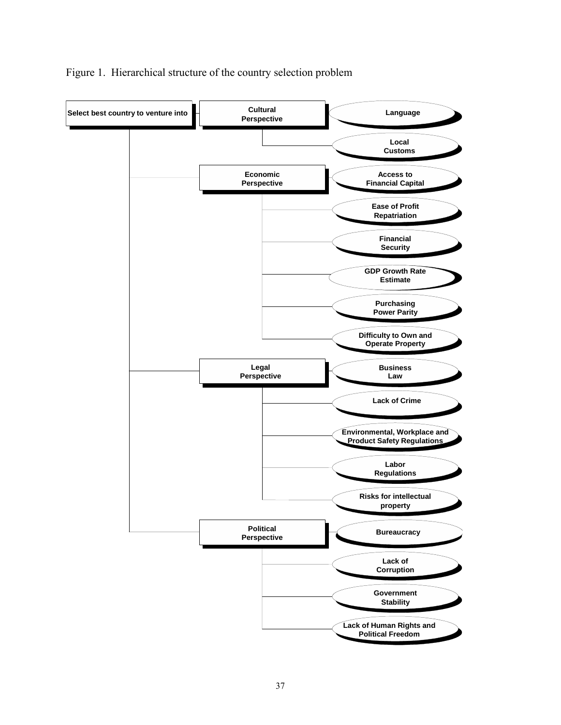

### Figure 1. Hierarchical structure of the country selection problem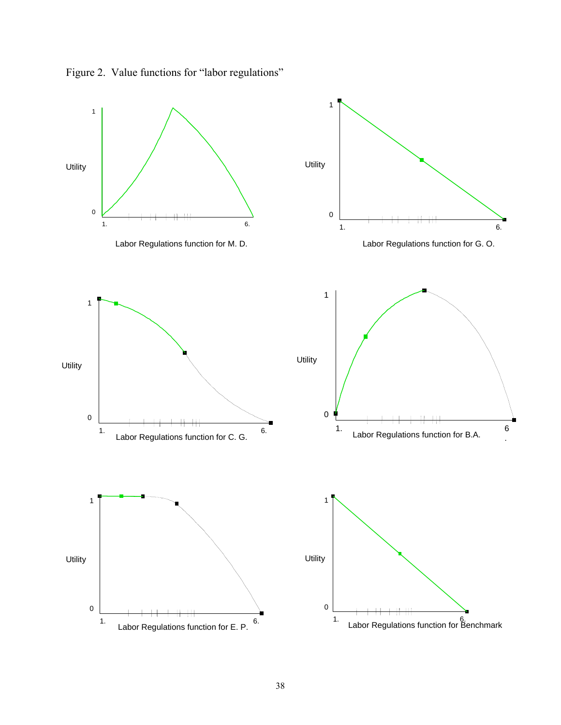

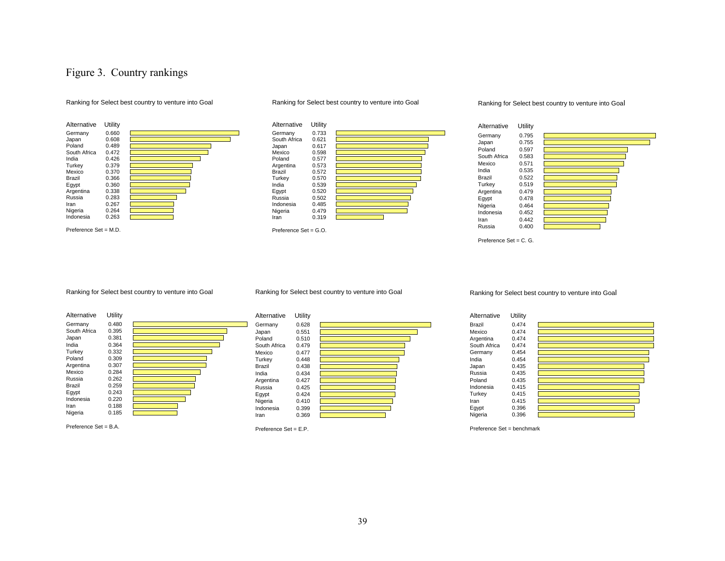### Figure 3. Country rankings





#### Ranking for Select best country to venture into Goal



#### Ranking for Select best country to venture into Goal



Ranking for Select best country to venture into Goal



Preference Set = B.A.

Ranking for Select best country to venture into Goal



Preference Set = E.P.

Ranking for Select best country to venture into Goal

| Alternative  | Utility |  |
|--------------|---------|--|
| Brazil       | 0.474   |  |
| Mexico       | 0.474   |  |
| Argentina    | 0.474   |  |
| South Africa | 0.474   |  |
| Germany      | 0.454   |  |
| India        | 0.454   |  |
| Japan        | 0.435   |  |
| Russia       | 0.435   |  |
| Poland       | 0.435   |  |
| Indonesia    | 0.415   |  |
| Turkey       | 0.415   |  |
| Iran         | 0.415   |  |
| Egypt        | 0.396   |  |
| Nigeria      | 0.396   |  |

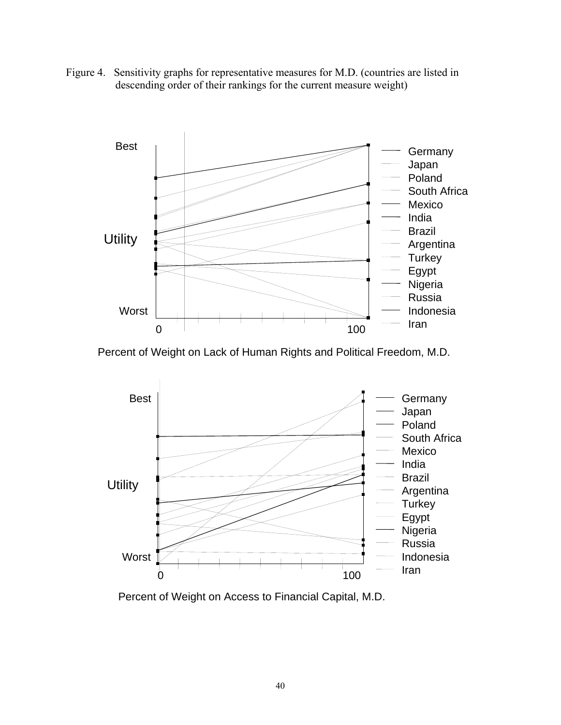Figure 4. Sensitivity graphs for representative measures for M.D. (countries are listed in descending order of their rankings for the current measure weight)



Percent of Weight on Lack of Human Rights and Political Freedom, M.D.



Percent of Weight on Access to Financial Capital, M.D.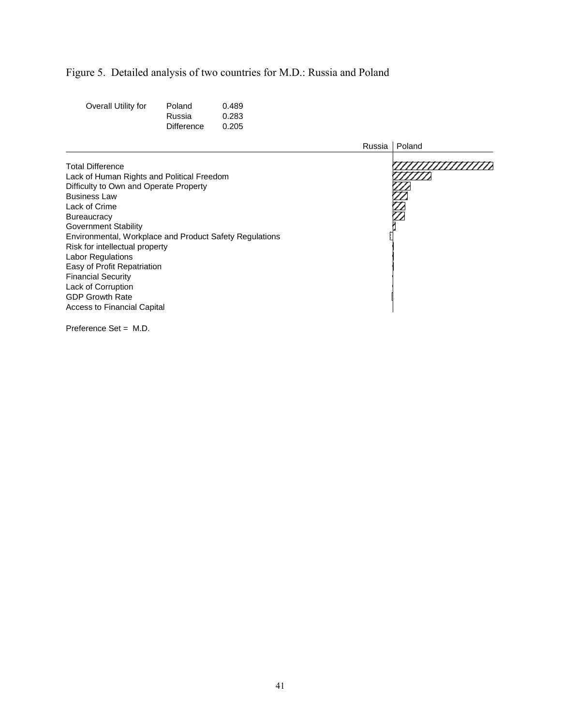# Figure 5. Detailed analysis of two countries for M.D.: Russia and Poland

| Overall Utility for | Poland     | 0.489 |
|---------------------|------------|-------|
|                     | Russia     | 0.283 |
|                     | Difference | 0.205 |

|                                                                                                                                                                                                                                                                                                                                                                                                                                                                           | Russia | Poland        |
|---------------------------------------------------------------------------------------------------------------------------------------------------------------------------------------------------------------------------------------------------------------------------------------------------------------------------------------------------------------------------------------------------------------------------------------------------------------------------|--------|---------------|
| <b>Total Difference</b><br>Lack of Human Rights and Political Freedom<br>Difficulty to Own and Operate Property<br><b>Business Law</b><br>Lack of Crime<br><b>Bureaucracy</b><br><b>Government Stability</b><br>Environmental, Workplace and Product Safety Regulations<br>Risk for intellectual property<br>Labor Regulations<br>Easy of Profit Repatriation<br><b>Financial Security</b><br>Lack of Corruption<br><b>GDP Growth Rate</b><br>Access to Financial Capital |        | $\frac{1}{2}$ |
|                                                                                                                                                                                                                                                                                                                                                                                                                                                                           |        |               |

Preference Set = M.D.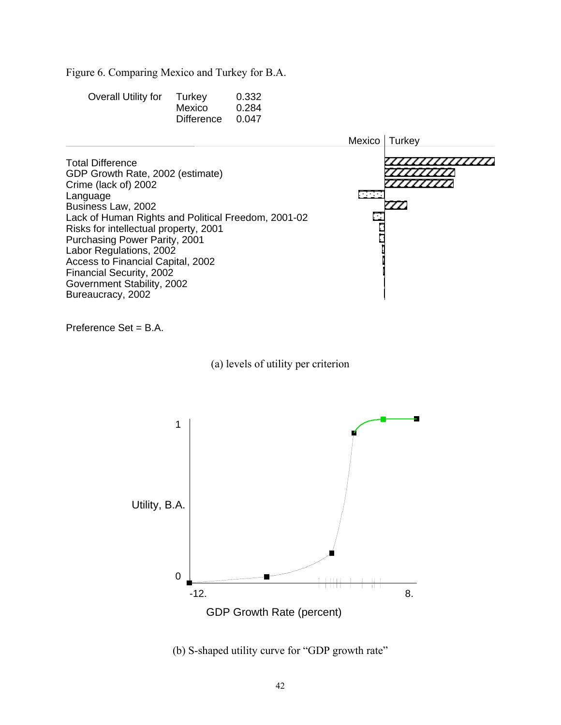Figure 6. Comparing Mexico and Turkey for B.A.

| Overall Utility for | Turkey     | 0.332 |
|---------------------|------------|-------|
|                     | Mexico     | 0.284 |
|                     | Difference | 0.047 |



Preference Set = B.A.

(a) levels of utility per criterion



(b) S-shaped utility curve for "GDP growth rate"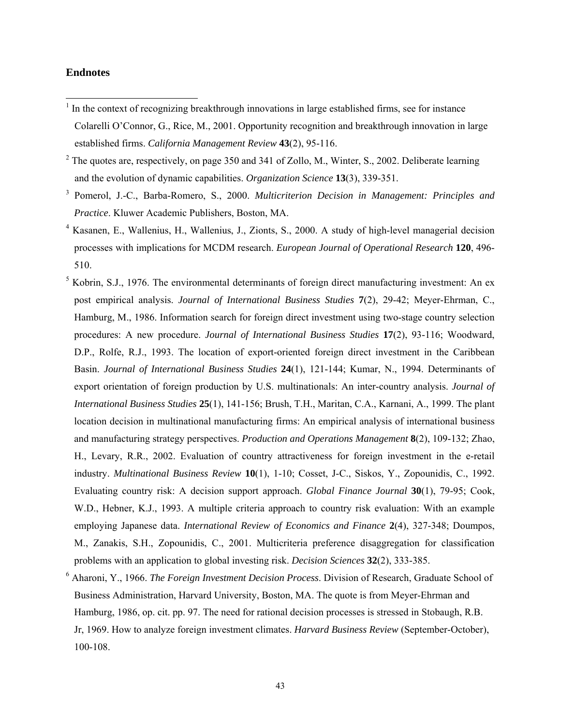### **Endnotes**

 $\overline{a}$ 

- $<sup>1</sup>$  In the context of recognizing breakthrough innovations in large established firms, see for instance</sup> Colarelli O'Connor, G., Rice, M., 2001. Opportunity recognition and breakthrough innovation in large established firms. *California Management Review* **43**(2), 95-116.
- <sup>2</sup> The quotes are, respectively, on page 350 and 341 of Zollo, M., Winter, S., 2002. Deliberate learning and the evolution of dynamic capabilities. *Organization Science* **13**(3), 339-351.
- 3 Pomerol, J.-C., Barba-Romero, S., 2000. *Multicriterion Decision in Management: Principles and Practice*. Kluwer Academic Publishers, Boston, MA.
- 4 Kasanen, E., Wallenius, H., Wallenius, J., Zionts, S., 2000. A study of high-level managerial decision processes with implications for MCDM research. *European Journal of Operational Research* **120**, 496- 510.
- $<sup>5</sup>$  Kobrin, S.J., 1976. The environmental determinants of foreign direct manufacturing investment: An ex</sup> post empirical analysis. *Journal of International Business Studies* **7**(2), 29-42; Meyer-Ehrman, C., Hamburg, M., 1986. Information search for foreign direct investment using two-stage country selection procedures: A new procedure. *Journal of International Business Studies* **17**(2), 93-116; Woodward, D.P., Rolfe, R.J., 1993. The location of export-oriented foreign direct investment in the Caribbean Basin. *Journal of International Business Studies* **24**(1), 121-144; Kumar, N., 1994. Determinants of export orientation of foreign production by U.S. multinationals: An inter-country analysis. *Journal of International Business Studies* **25**(1), 141-156; Brush, T.H., Maritan, C.A., Karnani, A., 1999. The plant location decision in multinational manufacturing firms: An empirical analysis of international business and manufacturing strategy perspectives. *Production and Operations Management* **8**(2), 109-132; Zhao, H., Levary, R.R., 2002. Evaluation of country attractiveness for foreign investment in the e-retail industry. *Multinational Business Review* **10**(1), 1-10; Cosset, J-C., Siskos, Y., Zopounidis, C., 1992. Evaluating country risk: A decision support approach. *Global Finance Journal* **30**(1), 79-95; Cook, W.D., Hebner, K.J., 1993. A multiple criteria approach to country risk evaluation: With an example employing Japanese data. *International Review of Economics and Finance* **2**(4), 327-348; Doumpos, M., Zanakis, S.H., Zopounidis, C., 2001. Multicriteria preference disaggregation for classification problems with an application to global investing risk. *Decision Sciences* **32**(2), 333-385.
- <sup>6</sup> Aharoni, Y., 1966. *The Foreign Investment Decision Process*. Division of Research, Graduate School of Business Administration, Harvard University, Boston, MA. The quote is from Meyer-Ehrman and Hamburg, 1986, op. cit. pp. 97. The need for rational decision processes is stressed in Stobaugh, R.B. Jr, 1969. How to analyze foreign investment climates. *Harvard Business Review* (September-October), 100-108.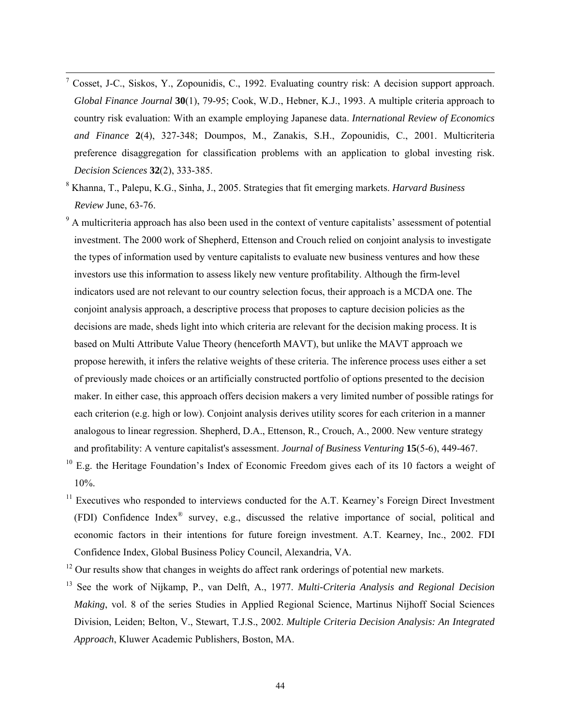- <sup>-</sup>7 <sup>7</sup> Cosset, J-C., Siskos, Y., Zopounidis, C., 1992. Evaluating country risk: A decision support approach. *Global Finance Journal* **30**(1), 79-95; Cook, W.D., Hebner, K.J., 1993. A multiple criteria approach to country risk evaluation: With an example employing Japanese data. *International Review of Economics and Finance* **2**(4), 327-348; Doumpos, M., Zanakis, S.H., Zopounidis, C., 2001. Multicriteria preference disaggregation for classification problems with an application to global investing risk. *Decision Sciences* **32**(2), 333-385.
- 8 Khanna, T., Palepu, K.G., Sinha, J., 2005. Strategies that fit emerging markets. *Harvard Business Review* June, 63-76.
- <sup>9</sup> A multicriteria approach has also been used in the context of venture capitalists' assessment of potential investment. The 2000 work of Shepherd, Ettenson and Crouch relied on conjoint analysis to investigate the types of information used by venture capitalists to evaluate new business ventures and how these investors use this information to assess likely new venture profitability. Although the firm-level indicators used are not relevant to our country selection focus, their approach is a MCDA one. The conjoint analysis approach, a descriptive process that proposes to capture decision policies as the decisions are made, sheds light into which criteria are relevant for the decision making process. It is based on Multi Attribute Value Theory (henceforth MAVT), but unlike the MAVT approach we propose herewith, it infers the relative weights of these criteria. The inference process uses either a set of previously made choices or an artificially constructed portfolio of options presented to the decision maker. In either case, this approach offers decision makers a very limited number of possible ratings for each criterion (e.g. high or low). Conjoint analysis derives utility scores for each criterion in a manner analogous to linear regression. Shepherd, D.A., Ettenson, R., Crouch, A., 2000. New venture strategy and profitability: A venture capitalist's assessment. *Journal of Business Venturing* **15**(5-6), 449-467.
- $10$  E.g. the Heritage Foundation's Index of Economic Freedom gives each of its 10 factors a weight of 10%.
- $11$  Executives who responded to interviews conducted for the A.T. Kearney's Foreign Direct Investment (FDI) Confidence Index® survey, e.g., discussed the relative importance of social, political and economic factors in their intentions for future foreign investment. A.T. Kearney, Inc., 2002. FDI Confidence Index, Global Business Policy Council, Alexandria, VA.
- $12$  Our results show that changes in weights do affect rank orderings of potential new markets.
- 13 See the work of Nijkamp, P., van Delft, A., 1977. *Multi-Criteria Analysis and Regional Decision Making*, vol. 8 of the series Studies in Applied Regional Science, Martinus Nijhoff Social Sciences Division, Leiden; Belton, V., Stewart, T.J.S., 2002. *Multiple Criteria Decision Analysis: An Integrated Approach*, Kluwer Academic Publishers, Boston, MA.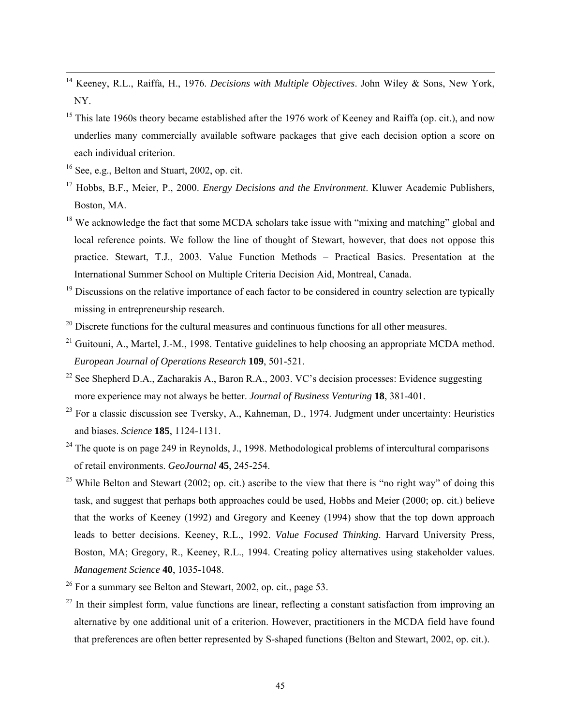- 14 Keeney, R.L., Raiffa, H., 1976. *Decisions with Multiple Objectives*. John Wiley & Sons, New York, NY.
- <sup>15</sup> This late 1960s theory became established after the 1976 work of Keeney and Raiffa (op. cit.), and now underlies many commercially available software packages that give each decision option a score on each individual criterion.
- 16 See, e.g., Belton and Stuart, 2002, op. cit.
- 17 Hobbs, B.F., Meier, P., 2000. *Energy Decisions and the Environment*. Kluwer Academic Publishers, Boston, MA.
- $18$  We acknowledge the fact that some MCDA scholars take issue with "mixing and matching" global and local reference points. We follow the line of thought of Stewart, however, that does not oppose this practice. Stewart, T.J., 2003. Value Function Methods – Practical Basics. Presentation at the International Summer School on Multiple Criteria Decision Aid, Montreal, Canada.
- <sup>19</sup> Discussions on the relative importance of each factor to be considered in country selection are typically missing in entrepreneurship research.
- $20$  Discrete functions for the cultural measures and continuous functions for all other measures.
- <sup>21</sup> Guitouni, A., Martel, J.-M., 1998. Tentative guidelines to help choosing an appropriate MCDA method. *European Journal of Operations Research* **109**, 501-521.
- <sup>22</sup> See Shepherd D.A., Zacharakis A., Baron R.A., 2003. VC's decision processes: Evidence suggesting more experience may not always be better. *Journal of Business Venturing* **18**, 381-401.
- $23$  For a classic discussion see Tversky, A., Kahneman, D., 1974. Judgment under uncertainty: Heuristics and biases. *Science* **185**, 1124-1131.
- $24$  The quote is on page 249 in Reynolds, J., 1998. Methodological problems of intercultural comparisons of retail environments. *GeoJournal* **45**, 245-254.
- <sup>25</sup> While Belton and Stewart (2002; op. cit.) ascribe to the view that there is "no right way" of doing this task, and suggest that perhaps both approaches could be used, Hobbs and Meier (2000; op. cit.) believe that the works of Keeney (1992) and Gregory and Keeney (1994) show that the top down approach leads to better decisions. Keeney, R.L., 1992. *Value Focused Thinking*. Harvard University Press, Boston, MA; Gregory, R., Keeney, R.L., 1994. Creating policy alternatives using stakeholder values. *Management Science* **40**, 1035-1048.
- $26$  For a summary see Belton and Stewart, 2002, op. cit., page 53.
- $27$  In their simplest form, value functions are linear, reflecting a constant satisfaction from improving an alternative by one additional unit of a criterion. However, practitioners in the MCDA field have found that preferences are often better represented by S-shaped functions (Belton and Stewart, 2002, op. cit.).